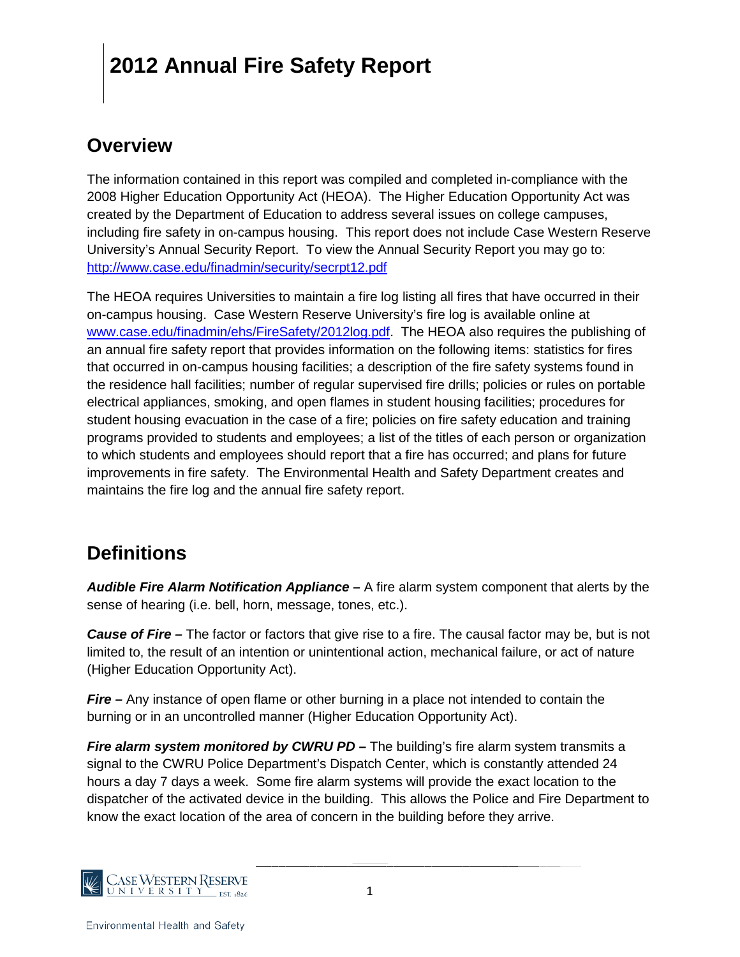#### **Overview**

The information contained in this report was compiled and completed in-compliance with the 2008 Higher Education Opportunity Act (HEOA). The Higher Education Opportunity Act was created by the Department of Education to address several issues on college campuses, including fire safety in on-campus housing. This report does not include Case Western Reserve University's Annual Security Report. To view the Annual Security Report you may go to: <http://www.case.edu/finadmin/security/secrpt12.pdf>

The HEOA requires Universities to maintain a fire log listing all fires that have occurred in their on-campus housing. Case Western Reserve University's fire log is available online at [www.case.edu/finadmin/ehs/FireSafety/2012log.pdf.](http://www.case.edu/finadmin/ehs/FireSafety/2012log.pdf) The HEOA also requires the publishing of an annual fire safety report that provides information on the following items: statistics for fires that occurred in on-campus housing facilities; a description of the fire safety systems found in the residence hall facilities; number of regular supervised fire drills; policies or rules on portable electrical appliances, smoking, and open flames in student housing facilities; procedures for student housing evacuation in the case of a fire; policies on fire safety education and training programs provided to students and employees; a list of the titles of each person or organization to which students and employees should report that a fire has occurred; and plans for future improvements in fire safety. The Environmental Health and Safety Department creates and maintains the fire log and the annual fire safety report.

### **Definitions**

*Audible Fire Alarm Notification Appliance –* A fire alarm system component that alerts by the sense of hearing (i.e. bell, horn, message, tones, etc.).

*Cause of Fire –* The factor or factors that give rise to a fire. The causal factor may be, but is not limited to, the result of an intention or unintentional action, mechanical failure, or act of nature (Higher Education Opportunity Act).

*Fire –* Any instance of open flame or other burning in a place not intended to contain the burning or in an uncontrolled manner (Higher Education Opportunity Act).

*Fire alarm system monitored by CWRU PD* **–** The building's fire alarm system transmits a signal to the CWRU Police Department's Dispatch Center, which is constantly attended 24 hours a day 7 days a week. Some fire alarm systems will provide the exact location to the dispatcher of the activated device in the building. This allows the Police and Fire Department to know the exact location of the area of concern in the building before they arrive.

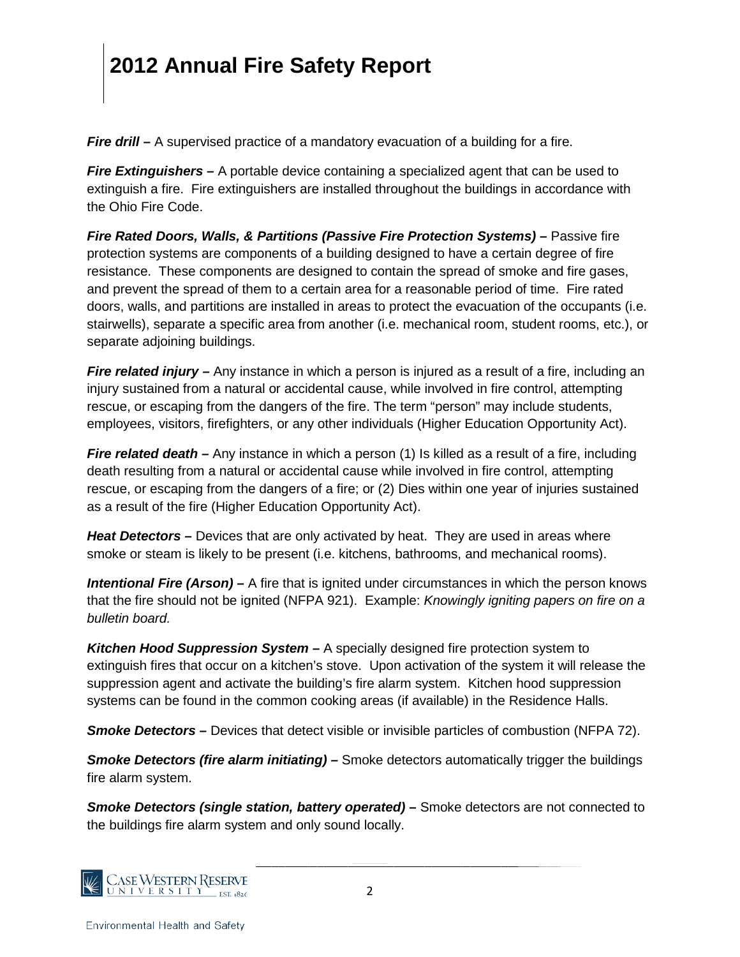*Fire drill* – A supervised practice of a mandatory evacuation of a building for a fire.

*Fire Extinguishers –* A portable device containing a specialized agent that can be used to extinguish a fire. Fire extinguishers are installed throughout the buildings in accordance with the Ohio Fire Code.

*Fire Rated Doors, Walls, & Partitions (Passive Fire Protection Systems) –* Passive fire protection systems are components of a building designed to have a certain degree of fire resistance. These components are designed to contain the spread of smoke and fire gases, and prevent the spread of them to a certain area for a reasonable period of time. Fire rated doors, walls, and partitions are installed in areas to protect the evacuation of the occupants (i.e. stairwells), separate a specific area from another (i.e. mechanical room, student rooms, etc.), or separate adjoining buildings.

**Fire related injury** – Any instance in which a person is injured as a result of a fire, including an injury sustained from a natural or accidental cause, while involved in fire control, attempting rescue, or escaping from the dangers of the fire. The term "person" may include students, employees, visitors, firefighters, or any other individuals (Higher Education Opportunity Act).

*Fire related death –* Any instance in which a person (1) Is killed as a result of a fire, including death resulting from a natural or accidental cause while involved in fire control, attempting rescue, or escaping from the dangers of a fire; or (2) Dies within one year of injuries sustained as a result of the fire (Higher Education Opportunity Act).

*Heat Detectors –* Devices that are only activated by heat. They are used in areas where smoke or steam is likely to be present (i.e. kitchens, bathrooms, and mechanical rooms).

*Intentional Fire (Arson) –* A fire that is ignited under circumstances in which the person knows that the fire should not be ignited (NFPA 921). Example: *Knowingly igniting papers on fire on a bulletin board.*

*Kitchen Hood Suppression System –* A specially designed fire protection system to extinguish fires that occur on a kitchen's stove. Upon activation of the system it will release the suppression agent and activate the building's fire alarm system. Kitchen hood suppression systems can be found in the common cooking areas (if available) in the Residence Halls.

**Smoke Detectors** – Devices that detect visible or invisible particles of combustion (NFPA 72).

*Smoke Detectors (fire alarm initiating) –* Smoke detectors automatically trigger the buildings fire alarm system.

*Smoke Detectors (single station, battery operated) –* Smoke detectors are not connected to the buildings fire alarm system and only sound locally.

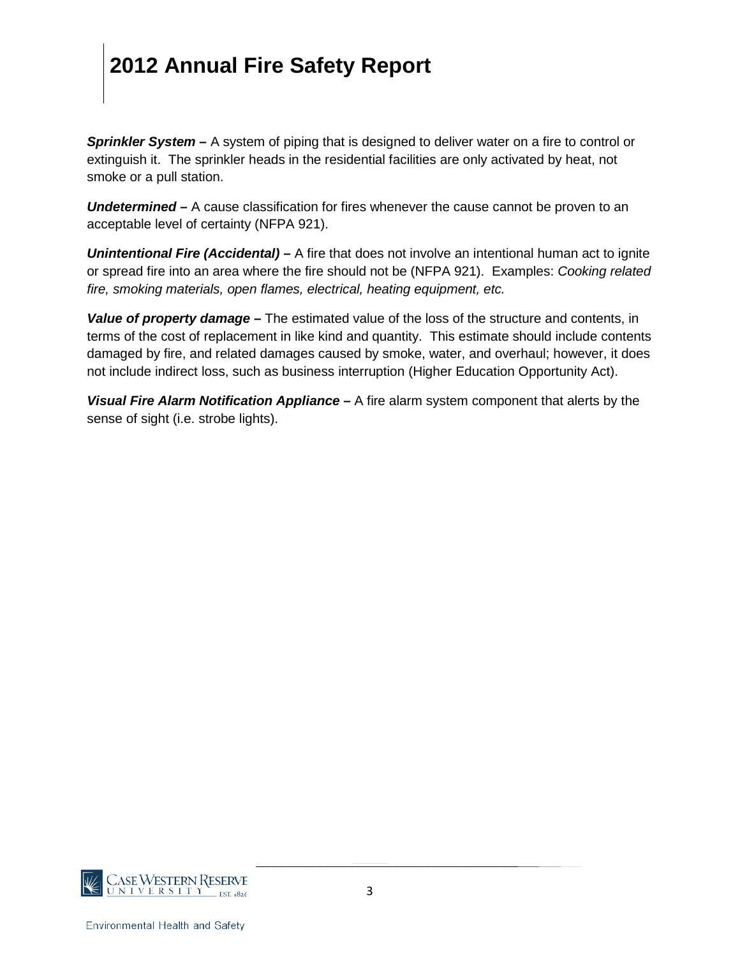*Sprinkler System –* A system of piping that is designed to deliver water on a fire to control or extinguish it. The sprinkler heads in the residential facilities are only activated by heat, not smoke or a pull station.

*Undetermined –* A cause classification for fires whenever the cause cannot be proven to an acceptable level of certainty (NFPA 921).

*Unintentional Fire (Accidental) –* A fire that does not involve an intentional human act to ignite or spread fire into an area where the fire should not be (NFPA 921). Examples: *Cooking related fire, smoking materials, open flames, electrical, heating equipment, etc.*

*Value of property damage –* The estimated value of the loss of the structure and contents, in terms of the cost of replacement in like kind and quantity. This estimate should include contents damaged by fire, and related damages caused by smoke, water, and overhaul; however, it does not include indirect loss, such as business interruption (Higher Education Opportunity Act).

*Visual Fire Alarm Notification Appliance –* A fire alarm system component that alerts by the sense of sight (i.e. strobe lights).

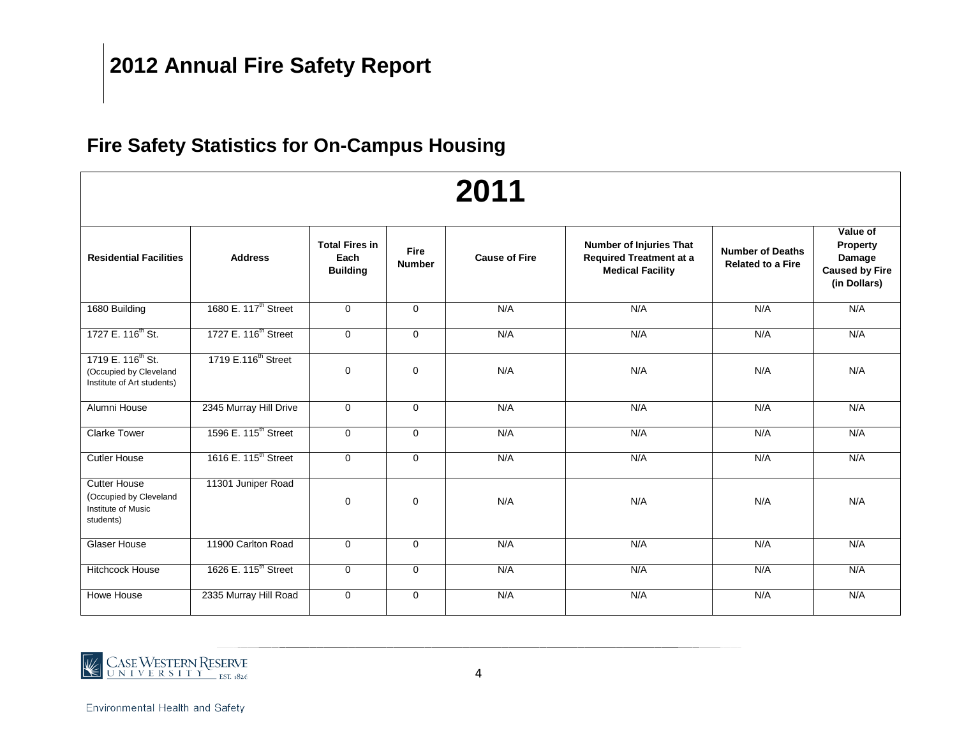### **Fire Safety Statistics for On-Campus Housing**

| 2011                                                                                  |                                  |                                                  |                              |                      |                                                                                             |                                                     |                                                                                |  |  |  |  |
|---------------------------------------------------------------------------------------|----------------------------------|--------------------------------------------------|------------------------------|----------------------|---------------------------------------------------------------------------------------------|-----------------------------------------------------|--------------------------------------------------------------------------------|--|--|--|--|
| <b>Residential Facilities</b>                                                         | <b>Address</b>                   | <b>Total Fires in</b><br>Each<br><b>Building</b> | <b>Fire</b><br><b>Number</b> | <b>Cause of Fire</b> | <b>Number of Injuries That</b><br><b>Required Treatment at a</b><br><b>Medical Facility</b> | <b>Number of Deaths</b><br><b>Related to a Fire</b> | Value of<br><b>Property</b><br>Damage<br><b>Caused by Fire</b><br>(in Dollars) |  |  |  |  |
| 1680 Building                                                                         | 1680 E. 117 <sup>th</sup> Street | $\mathbf 0$                                      | $\Omega$                     | N/A                  | N/A                                                                                         | N/A                                                 | N/A                                                                            |  |  |  |  |
| 1727 E. 116 <sup>th</sup> St.                                                         | 1727 E. 116 <sup>th</sup> Street | $\mathbf 0$                                      | $\mathbf 0$                  | N/A                  | N/A                                                                                         | N/A                                                 | N/A                                                                            |  |  |  |  |
| 1719 E. 116 <sup>th</sup> St.<br>(Occupied by Cleveland<br>Institute of Art students) | 1719 E.116 <sup>th</sup> Street  | $\mathbf 0$                                      | 0                            | N/A                  | N/A                                                                                         | N/A                                                 | N/A                                                                            |  |  |  |  |
| Alumni House                                                                          | 2345 Murray Hill Drive           | $\mathbf 0$                                      | $\mathbf 0$                  | N/A                  | N/A                                                                                         | N/A                                                 | N/A                                                                            |  |  |  |  |
| <b>Clarke Tower</b>                                                                   | 1596 E. 115 <sup>th</sup> Street | $\mathbf 0$                                      | $\mathbf 0$                  | N/A                  | N/A                                                                                         | N/A                                                 | N/A                                                                            |  |  |  |  |
| <b>Cutler House</b>                                                                   | 1616 E. 115 <sup>th</sup> Street | $\mathbf 0$                                      | $\mathbf 0$                  | N/A                  | N/A                                                                                         | N/A                                                 | N/A                                                                            |  |  |  |  |
| <b>Cutter House</b><br>(Occupied by Cleveland<br>Institute of Music<br>students)      | 11301 Juniper Road               | 0                                                | 0                            | N/A                  | N/A                                                                                         | N/A                                                 | N/A                                                                            |  |  |  |  |
| Glaser House                                                                          | 11900 Carlton Road               | $\mathbf 0$                                      | $\mathbf 0$                  | N/A                  | N/A                                                                                         | N/A                                                 | N/A                                                                            |  |  |  |  |
| <b>Hitchcock House</b>                                                                | 1626 E. 115 <sup>th</sup> Street | $\mathbf 0$                                      | $\mathbf 0$                  | N/A                  | N/A                                                                                         | N/A                                                 | N/A                                                                            |  |  |  |  |
| Howe House                                                                            | 2335 Murray Hill Road            | $\mathbf 0$                                      | $\mathbf 0$                  | N/A                  | N/A                                                                                         | N/A                                                 | N/A                                                                            |  |  |  |  |

# CASEWESTERN RESERVE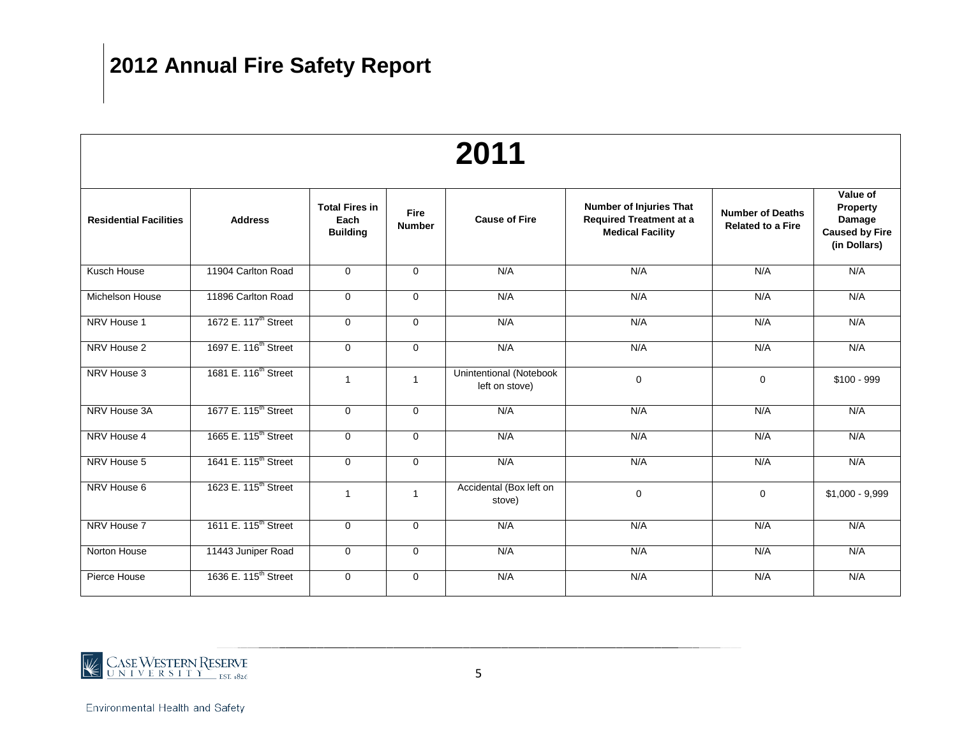| 2011                          |                                  |                                                  |                              |                                                  |                                                                                             |                                                     |                                                                         |  |  |  |  |
|-------------------------------|----------------------------------|--------------------------------------------------|------------------------------|--------------------------------------------------|---------------------------------------------------------------------------------------------|-----------------------------------------------------|-------------------------------------------------------------------------|--|--|--|--|
| <b>Residential Facilities</b> | <b>Address</b>                   | <b>Total Fires in</b><br>Each<br><b>Building</b> | <b>Fire</b><br><b>Number</b> | <b>Cause of Fire</b>                             | <b>Number of Injuries That</b><br><b>Required Treatment at a</b><br><b>Medical Facility</b> | <b>Number of Deaths</b><br><b>Related to a Fire</b> | Value of<br>Property<br>Damage<br><b>Caused by Fire</b><br>(in Dollars) |  |  |  |  |
| Kusch House                   | 11904 Carlton Road               | $\mathbf{0}$                                     | $\mathbf 0$                  | N/A                                              | N/A                                                                                         | N/A                                                 | N/A                                                                     |  |  |  |  |
| Michelson House               | 11896 Carlton Road               | $\mathbf 0$                                      | $\mathbf 0$                  | N/A                                              | N/A                                                                                         | N/A                                                 | N/A                                                                     |  |  |  |  |
| NRV House 1                   | 1672 E. 117 <sup>th</sup> Street | $\mathbf 0$                                      | $\Omega$                     | N/A                                              | N/A                                                                                         | N/A                                                 | N/A                                                                     |  |  |  |  |
| NRV House 2                   | 1697 E. 116 <sup>th</sup> Street | $\mathbf 0$                                      | $\mathbf 0$                  | N/A                                              | N/A                                                                                         | N/A                                                 | N/A                                                                     |  |  |  |  |
| NRV House 3                   | 1681 E. 116 <sup>th</sup> Street | $\mathbf{1}$                                     | $\mathbf{1}$                 | <b>Unintentional (Notebook</b><br>left on stove) | $\mathbf 0$                                                                                 | $\mathbf 0$                                         | $$100 - 999$                                                            |  |  |  |  |
| NRV House 3A                  | 1677 E. 115 <sup>th</sup> Street | $\mathbf 0$                                      | $\mathbf 0$                  | N/A                                              | N/A                                                                                         | N/A                                                 | N/A                                                                     |  |  |  |  |
| NRV House 4                   | 1665 E. 115 <sup>th</sup> Street | $\mathbf 0$                                      | $\mathbf 0$                  | N/A                                              | N/A                                                                                         | N/A                                                 | N/A                                                                     |  |  |  |  |
| NRV House 5                   | 1641 E. 115 <sup>th</sup> Street | $\mathbf 0$                                      | $\mathbf 0$                  | N/A                                              | N/A                                                                                         | N/A                                                 | N/A                                                                     |  |  |  |  |
| NRV House 6                   | 1623 E. 115 <sup>th</sup> Street | $\mathbf{1}$                                     | 1                            | Accidental (Box left on<br>stove)                | $\Omega$                                                                                    | $\mathbf 0$                                         | $$1,000 - 9,999$                                                        |  |  |  |  |
| NRV House 7                   | 1611 E. 115 <sup>th</sup> Street | $\mathbf 0$                                      | $\mathbf 0$                  | N/A                                              | N/A                                                                                         | N/A                                                 | N/A                                                                     |  |  |  |  |
| Norton House                  | 11443 Juniper Road               | $\mathbf 0$                                      | $\mathbf 0$                  | N/A                                              | N/A                                                                                         | N/A                                                 | N/A                                                                     |  |  |  |  |
| Pierce House                  | 1636 E. 115 <sup>th</sup> Street | $\mathbf 0$                                      | $\mathbf 0$                  | N/A                                              | N/A                                                                                         | N/A                                                 | N/A                                                                     |  |  |  |  |

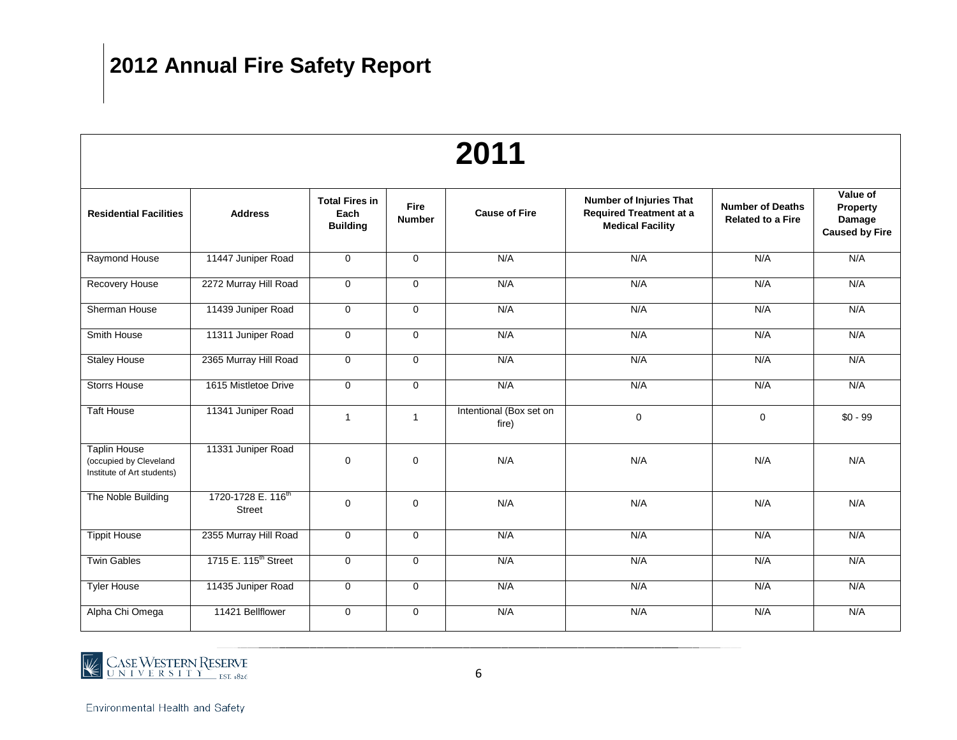| 2011                                                                        |                                                 |                                                  |                              |                                  |                                                                                             |                                                     |                                                         |  |  |  |  |
|-----------------------------------------------------------------------------|-------------------------------------------------|--------------------------------------------------|------------------------------|----------------------------------|---------------------------------------------------------------------------------------------|-----------------------------------------------------|---------------------------------------------------------|--|--|--|--|
| <b>Residential Facilities</b>                                               | <b>Address</b>                                  | <b>Total Fires in</b><br>Each<br><b>Building</b> | <b>Fire</b><br><b>Number</b> | <b>Cause of Fire</b>             | <b>Number of Injuries That</b><br><b>Required Treatment at a</b><br><b>Medical Facility</b> | <b>Number of Deaths</b><br><b>Related to a Fire</b> | Value of<br>Property<br>Damage<br><b>Caused by Fire</b> |  |  |  |  |
| Raymond House                                                               | 11447 Juniper Road                              | 0                                                | $\mathbf 0$                  | N/A                              | N/A                                                                                         | N/A                                                 | N/A                                                     |  |  |  |  |
| Recovery House                                                              | 2272 Murray Hill Road                           | 0                                                | $\mathbf 0$                  | N/A                              | N/A                                                                                         | N/A                                                 | N/A                                                     |  |  |  |  |
| Sherman House                                                               | 11439 Juniper Road                              | $\mathbf 0$                                      | $\Omega$                     | N/A                              | N/A                                                                                         | N/A                                                 | N/A                                                     |  |  |  |  |
| Smith House                                                                 | 11311 Juniper Road                              | 0                                                | $\mathbf 0$                  | N/A                              | N/A                                                                                         | N/A                                                 | N/A                                                     |  |  |  |  |
| <b>Staley House</b>                                                         | 2365 Murray Hill Road                           | 0                                                | $\mathbf 0$                  | N/A                              | N/A                                                                                         | N/A                                                 | N/A                                                     |  |  |  |  |
| <b>Storrs House</b>                                                         | 1615 Mistletoe Drive                            | 0                                                | $\mathbf 0$                  | N/A                              | N/A                                                                                         | N/A                                                 | N/A                                                     |  |  |  |  |
| <b>Taft House</b>                                                           | 11341 Juniper Road                              | $\mathbf{1}$                                     | $\mathbf{1}$                 | Intentional (Box set on<br>fire) | $\mathbf 0$                                                                                 | $\mathbf 0$                                         | $$0 - 99$                                               |  |  |  |  |
| <b>Taplin House</b><br>(occupied by Cleveland<br>Institute of Art students) | 11331 Juniper Road                              | $\mathbf 0$                                      | 0                            | N/A                              | N/A                                                                                         | N/A                                                 | N/A                                                     |  |  |  |  |
| The Noble Building                                                          | 1720-1728 E. 116 <sup>th</sup><br><b>Street</b> | 0                                                | $\mathbf 0$                  | N/A                              | N/A                                                                                         | N/A                                                 | N/A                                                     |  |  |  |  |
| <b>Tippit House</b>                                                         | 2355 Murray Hill Road                           | $\mathbf 0$                                      | $\mathbf 0$                  | N/A                              | N/A                                                                                         | N/A                                                 | N/A                                                     |  |  |  |  |
| <b>Twin Gables</b>                                                          | 1715 E. 115 <sup>th</sup> Street                | 0                                                | 0                            | N/A                              | N/A                                                                                         | N/A                                                 | N/A                                                     |  |  |  |  |
| <b>Tyler House</b>                                                          | 11435 Juniper Road                              | 0                                                | $\mathbf 0$                  | N/A                              | N/A                                                                                         | N/A                                                 | N/A                                                     |  |  |  |  |
| Alpha Chi Omega                                                             | 11421 Bellflower                                | 0                                                | $\mathbf 0$                  | N/A                              | N/A                                                                                         | N/A                                                 | N/A                                                     |  |  |  |  |

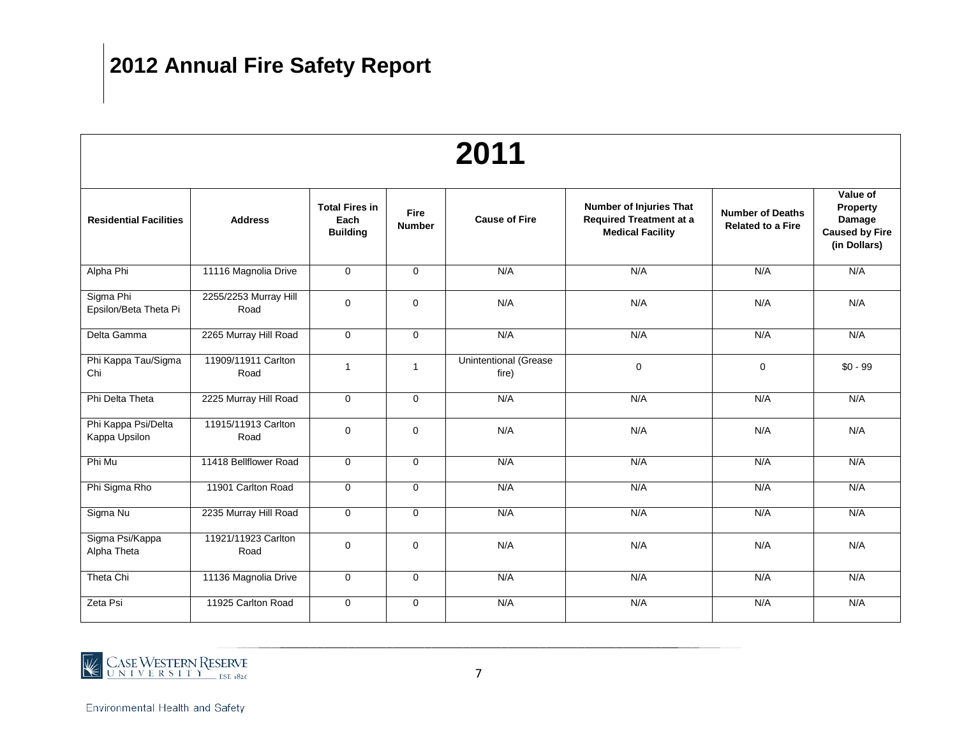| 2011                                 |                               |                                                  |                              |                                       |                                                                                             |                                                     |                                                                         |  |  |  |  |
|--------------------------------------|-------------------------------|--------------------------------------------------|------------------------------|---------------------------------------|---------------------------------------------------------------------------------------------|-----------------------------------------------------|-------------------------------------------------------------------------|--|--|--|--|
| <b>Residential Facilities</b>        | <b>Address</b>                | <b>Total Fires in</b><br>Each<br><b>Building</b> | <b>Fire</b><br><b>Number</b> | <b>Cause of Fire</b>                  | <b>Number of Injuries That</b><br><b>Required Treatment at a</b><br><b>Medical Facility</b> | <b>Number of Deaths</b><br><b>Related to a Fire</b> | Value of<br>Property<br>Damage<br><b>Caused by Fire</b><br>(in Dollars) |  |  |  |  |
| Alpha Phi                            | 11116 Magnolia Drive          | $\mathbf 0$                                      | $\mathbf 0$                  | N/A                                   | N/A                                                                                         | N/A                                                 | N/A                                                                     |  |  |  |  |
| Sigma Phi<br>Epsilon/Beta Theta Pi   | 2255/2253 Murray Hill<br>Road | $\mathbf 0$                                      | $\mathbf 0$                  | N/A                                   | N/A                                                                                         | N/A                                                 | N/A                                                                     |  |  |  |  |
| Delta Gamma                          | 2265 Murray Hill Road         | $\overline{0}$                                   | $\mathbf 0$                  | N/A                                   | N/A                                                                                         | N/A                                                 | N/A                                                                     |  |  |  |  |
| Phi Kappa Tau/Sigma<br>Chi           | 11909/11911 Carlton<br>Road   | $\mathbf{1}$                                     | $\mathbf{1}$                 | <b>Unintentional (Grease</b><br>fire) | $\mathbf 0$                                                                                 | $\mathbf 0$                                         | $$0 - 99$                                                               |  |  |  |  |
| Phi Delta Theta                      | 2225 Murray Hill Road         | $\mathbf 0$                                      | $\Omega$                     | N/A                                   | N/A                                                                                         | N/A                                                 | N/A                                                                     |  |  |  |  |
| Phi Kappa Psi/Delta<br>Kappa Upsilon | 11915/11913 Carlton<br>Road   | $\mathbf 0$                                      | $\mathbf 0$                  | N/A                                   | N/A                                                                                         | N/A                                                 | N/A                                                                     |  |  |  |  |
| Phi Mu                               | 11418 Bellflower Road         | $\mathbf 0$                                      | $\mathbf 0$                  | N/A                                   | N/A                                                                                         | N/A                                                 | N/A                                                                     |  |  |  |  |
| Phi Sigma Rho                        | 11901 Carlton Road            | $\mathbf 0$                                      | $\mathbf 0$                  | N/A                                   | N/A                                                                                         | N/A                                                 | N/A                                                                     |  |  |  |  |
| Sigma Nu                             | 2235 Murray Hill Road         | $\mathbf 0$                                      | $\mathbf 0$                  | N/A                                   | N/A                                                                                         | N/A                                                 | N/A                                                                     |  |  |  |  |
| Sigma Psi/Kappa<br>Alpha Theta       | 11921/11923 Carlton<br>Road   | $\mathbf 0$                                      | $\mathbf 0$                  | N/A                                   | N/A                                                                                         | N/A                                                 | N/A                                                                     |  |  |  |  |
| Theta Chi                            | 11136 Magnolia Drive          | $\mathbf 0$                                      | $\mathbf 0$                  | N/A                                   | N/A                                                                                         | N/A                                                 | N/A                                                                     |  |  |  |  |
| Zeta Psi                             | 11925 Carlton Road            | $\mathbf 0$                                      | $\mathbf 0$                  | N/A                                   | N/A                                                                                         | N/A                                                 | N/A                                                                     |  |  |  |  |

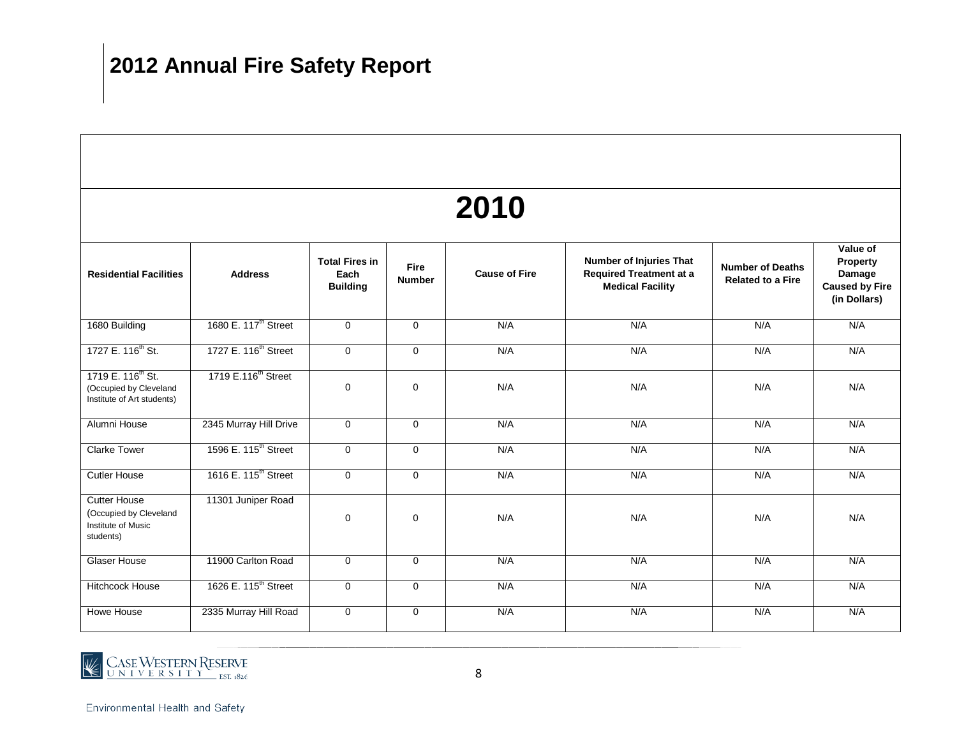| 2010                                                                                  |                                  |                                                  |                              |                      |                                                                                      |                                                     |                                                                         |  |  |  |  |  |
|---------------------------------------------------------------------------------------|----------------------------------|--------------------------------------------------|------------------------------|----------------------|--------------------------------------------------------------------------------------|-----------------------------------------------------|-------------------------------------------------------------------------|--|--|--|--|--|
| <b>Residential Facilities</b>                                                         | <b>Address</b>                   | <b>Total Fires in</b><br>Each<br><b>Building</b> | <b>Fire</b><br><b>Number</b> | <b>Cause of Fire</b> | Number of Injuries That<br><b>Required Treatment at a</b><br><b>Medical Facility</b> | <b>Number of Deaths</b><br><b>Related to a Fire</b> | Value of<br>Property<br>Damage<br><b>Caused by Fire</b><br>(in Dollars) |  |  |  |  |  |
| 1680 Building                                                                         | 1680 E. 117 <sup>th</sup> Street | $\mathbf 0$                                      | $\mathbf 0$                  | N/A                  | N/A                                                                                  | N/A                                                 | N/A                                                                     |  |  |  |  |  |
| 1727 E. 116 <sup>th</sup> St.                                                         | 1727 E. 116 <sup>th</sup> Street | $\mathbf 0$                                      | $\mathbf 0$                  | N/A                  | N/A                                                                                  | N/A                                                 | N/A                                                                     |  |  |  |  |  |
| 1719 E. 116 <sup>th</sup> St.<br>(Occupied by Cleveland<br>Institute of Art students) | 1719 E.116 <sup>th</sup> Street  | 0                                                | $\mathbf 0$                  | N/A                  | N/A                                                                                  | N/A                                                 | N/A                                                                     |  |  |  |  |  |
| Alumni House                                                                          | 2345 Murray Hill Drive           | $\mathbf 0$                                      | $\mathbf 0$                  | N/A                  | N/A                                                                                  | N/A                                                 | N/A                                                                     |  |  |  |  |  |
| <b>Clarke Tower</b>                                                                   | 1596 E. 115 <sup>th</sup> Street | 0                                                | $\mathbf 0$                  | N/A                  | N/A                                                                                  | N/A                                                 | N/A                                                                     |  |  |  |  |  |
| <b>Cutler House</b>                                                                   | 1616 E. 115 <sup>th</sup> Street | 0                                                | $\mathbf 0$                  | N/A                  | N/A                                                                                  | N/A                                                 | N/A                                                                     |  |  |  |  |  |
| <b>Cutter House</b><br>(Occupied by Cleveland<br>Institute of Music<br>students)      | 11301 Juniper Road               | 0                                                | $\pmb{0}$                    | N/A                  | N/A                                                                                  | N/A                                                 | N/A                                                                     |  |  |  |  |  |
| Glaser House                                                                          | 11900 Carlton Road               | 0                                                | $\mathbf 0$                  | N/A                  | N/A                                                                                  | N/A                                                 | N/A                                                                     |  |  |  |  |  |
| <b>Hitchcock House</b>                                                                | 1626 E. 115 <sup>th</sup> Street | 0                                                | $\mathbf 0$                  | N/A                  | N/A                                                                                  | N/A                                                 | N/A                                                                     |  |  |  |  |  |
| Howe House                                                                            | 2335 Murray Hill Road            | 0                                                | $\mathbf 0$                  | N/A                  | N/A                                                                                  | N/A                                                 | N/A                                                                     |  |  |  |  |  |

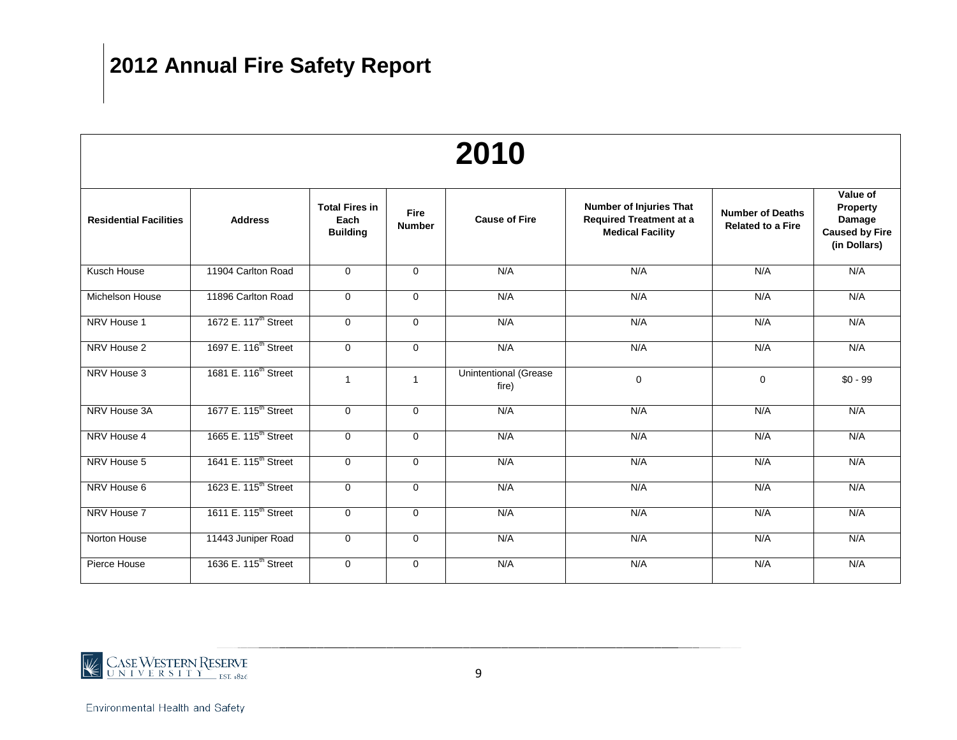| 2010                          |                                  |                                                  |                              |                                       |                                                                                             |                                                     |                                                                                |  |  |  |  |
|-------------------------------|----------------------------------|--------------------------------------------------|------------------------------|---------------------------------------|---------------------------------------------------------------------------------------------|-----------------------------------------------------|--------------------------------------------------------------------------------|--|--|--|--|
| <b>Residential Facilities</b> | <b>Address</b>                   | <b>Total Fires in</b><br>Each<br><b>Building</b> | <b>Fire</b><br><b>Number</b> | <b>Cause of Fire</b>                  | <b>Number of Injuries That</b><br><b>Required Treatment at a</b><br><b>Medical Facility</b> | <b>Number of Deaths</b><br><b>Related to a Fire</b> | Value of<br><b>Property</b><br>Damage<br><b>Caused by Fire</b><br>(in Dollars) |  |  |  |  |
| Kusch House                   | 11904 Carlton Road               | $\mathbf 0$                                      | $\mathbf 0$                  | N/A                                   | N/A                                                                                         | N/A                                                 | N/A                                                                            |  |  |  |  |
| <b>Michelson House</b>        | 11896 Carlton Road               | $\mathbf 0$                                      | $\mathbf 0$                  | N/A                                   | N/A                                                                                         | N/A                                                 | N/A                                                                            |  |  |  |  |
| NRV House 1                   | 1672 E. 117 <sup>th</sup> Street | $\mathbf 0$                                      | $\mathbf 0$                  | N/A                                   | N/A                                                                                         | N/A                                                 | N/A                                                                            |  |  |  |  |
| NRV House 2                   | 1697 E. 116 <sup>th</sup> Street | $\mathbf 0$                                      | $\mathbf 0$                  | N/A                                   | N/A                                                                                         | N/A                                                 | N/A                                                                            |  |  |  |  |
| NRV House 3                   | 1681 E. 116 <sup>th</sup> Street | $\mathbf{1}$                                     | $\mathbf{1}$                 | <b>Unintentional (Grease</b><br>fire) | $\mathbf 0$                                                                                 | 0                                                   | $$0 - 99$                                                                      |  |  |  |  |
| NRV House 3A                  | 1677 E. 115 <sup>th</sup> Street | $\mathbf 0$                                      | $\mathbf 0$                  | N/A                                   | N/A                                                                                         | N/A                                                 | N/A                                                                            |  |  |  |  |
| NRV House 4                   | 1665 E. 115 <sup>th</sup> Street | $\mathbf 0$                                      | $\Omega$                     | N/A                                   | N/A                                                                                         | N/A                                                 | N/A                                                                            |  |  |  |  |
| NRV House 5                   | 1641 E. 115 <sup>th</sup> Street | $\mathbf 0$                                      | $\Omega$                     | N/A                                   | N/A                                                                                         | N/A                                                 | N/A                                                                            |  |  |  |  |
| NRV House 6                   | 1623 E. 115 <sup>th</sup> Street | $\mathbf 0$                                      | $\mathbf 0$                  | N/A                                   | N/A                                                                                         | N/A                                                 | N/A                                                                            |  |  |  |  |
| NRV House 7                   | 1611 E. 115 <sup>th</sup> Street | $\mathbf 0$                                      | $\mathbf 0$                  | N/A                                   | N/A                                                                                         | N/A                                                 | N/A                                                                            |  |  |  |  |
| Norton House                  | 11443 Juniper Road               | $\mathbf 0$                                      | $\mathbf 0$                  | N/A                                   | N/A                                                                                         | N/A                                                 | N/A                                                                            |  |  |  |  |
| Pierce House                  | 1636 E. 115 <sup>th</sup> Street | $\mathbf 0$                                      | $\mathbf 0$                  | N/A                                   | N/A                                                                                         | N/A                                                 | N/A                                                                            |  |  |  |  |

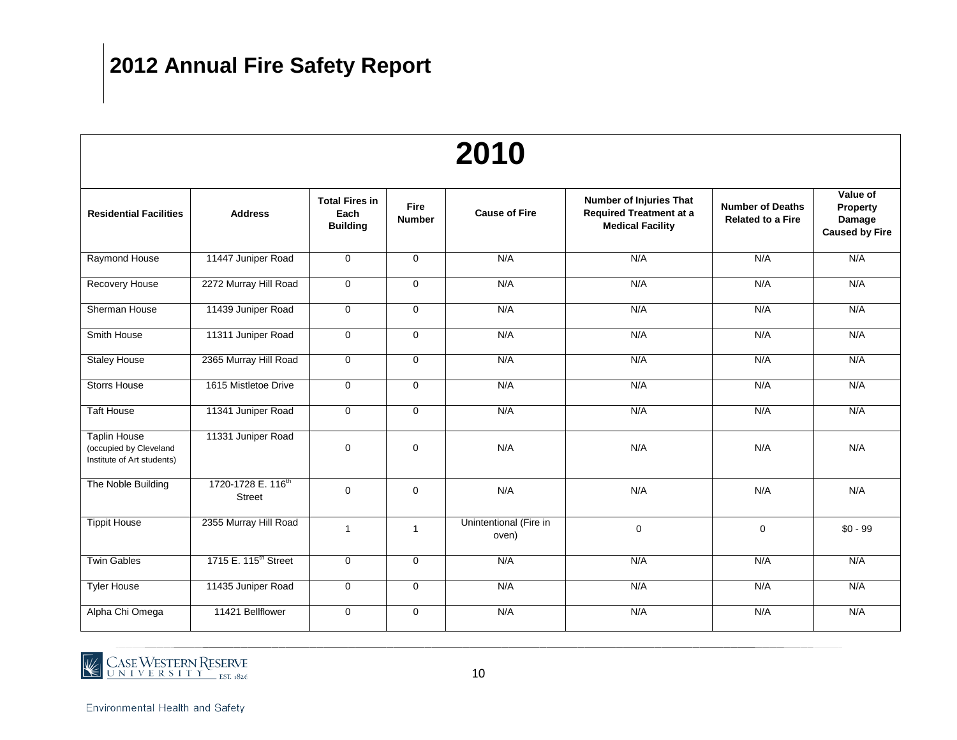| 2010                                                                        |                                          |                                                  |                       |                                 |                                                                                             |                                                     |                                                         |  |  |  |  |
|-----------------------------------------------------------------------------|------------------------------------------|--------------------------------------------------|-----------------------|---------------------------------|---------------------------------------------------------------------------------------------|-----------------------------------------------------|---------------------------------------------------------|--|--|--|--|
| <b>Residential Facilities</b>                                               | <b>Address</b>                           | <b>Total Fires in</b><br>Each<br><b>Building</b> | Fire<br><b>Number</b> | <b>Cause of Fire</b>            | <b>Number of Injuries That</b><br><b>Required Treatment at a</b><br><b>Medical Facility</b> | <b>Number of Deaths</b><br><b>Related to a Fire</b> | Value of<br>Property<br>Damage<br><b>Caused by Fire</b> |  |  |  |  |
| Raymond House                                                               | 11447 Juniper Road                       | $\overline{0}$                                   | $\mathbf 0$           | N/A                             | N/A                                                                                         | N/A                                                 | N/A                                                     |  |  |  |  |
| Recovery House                                                              | 2272 Murray Hill Road                    | $\mathbf 0$                                      | $\Omega$              | N/A                             | N/A                                                                                         | N/A                                                 | N/A                                                     |  |  |  |  |
| Sherman House                                                               | 11439 Juniper Road                       | 0                                                | 0                     | N/A                             | N/A                                                                                         | N/A                                                 | N/A                                                     |  |  |  |  |
| Smith House                                                                 | 11311 Juniper Road                       | 0                                                | $\mathbf 0$           | N/A                             | N/A                                                                                         | N/A                                                 | N/A                                                     |  |  |  |  |
| <b>Staley House</b>                                                         | 2365 Murray Hill Road                    | 0                                                | $\mathbf 0$           | N/A                             | N/A                                                                                         | N/A                                                 | N/A                                                     |  |  |  |  |
| <b>Storrs House</b>                                                         | 1615 Mistletoe Drive                     | 0                                                | $\mathbf 0$           | N/A                             | N/A                                                                                         | N/A                                                 | N/A                                                     |  |  |  |  |
| <b>Taft House</b>                                                           | 11341 Juniper Road                       | $\mathbf 0$                                      | $\mathbf 0$           | N/A                             | N/A                                                                                         | N/A                                                 | N/A                                                     |  |  |  |  |
| <b>Taplin House</b><br>(occupied by Cleveland<br>Institute of Art students) | 11331 Juniper Road                       | 0                                                | 0                     | N/A                             | N/A                                                                                         | N/A                                                 | N/A                                                     |  |  |  |  |
| The Noble Building                                                          | 1720-1728 E. 116 <sup>th</sup><br>Street | $\mathbf 0$                                      | $\mathbf 0$           | N/A                             | N/A                                                                                         | N/A                                                 | N/A                                                     |  |  |  |  |
| <b>Tippit House</b>                                                         | 2355 Murray Hill Road                    | $\mathbf{1}$                                     | $\mathbf{1}$          | Unintentional (Fire in<br>oven) | 0                                                                                           | 0                                                   | $$0 - 99$                                               |  |  |  |  |
| <b>Twin Gables</b>                                                          | 1715 E. 115 <sup>th</sup> Street         | 0                                                | $\pmb{0}$             | N/A                             | N/A                                                                                         | N/A                                                 | N/A                                                     |  |  |  |  |
| <b>Tyler House</b>                                                          | 11435 Juniper Road                       | 0                                                | $\mathbf 0$           | N/A                             | N/A                                                                                         | N/A                                                 | N/A                                                     |  |  |  |  |
| Alpha Chi Omega                                                             | 11421 Bellflower                         | 0                                                | $\mathbf 0$           | N/A                             | N/A                                                                                         | N/A                                                 | N/A                                                     |  |  |  |  |

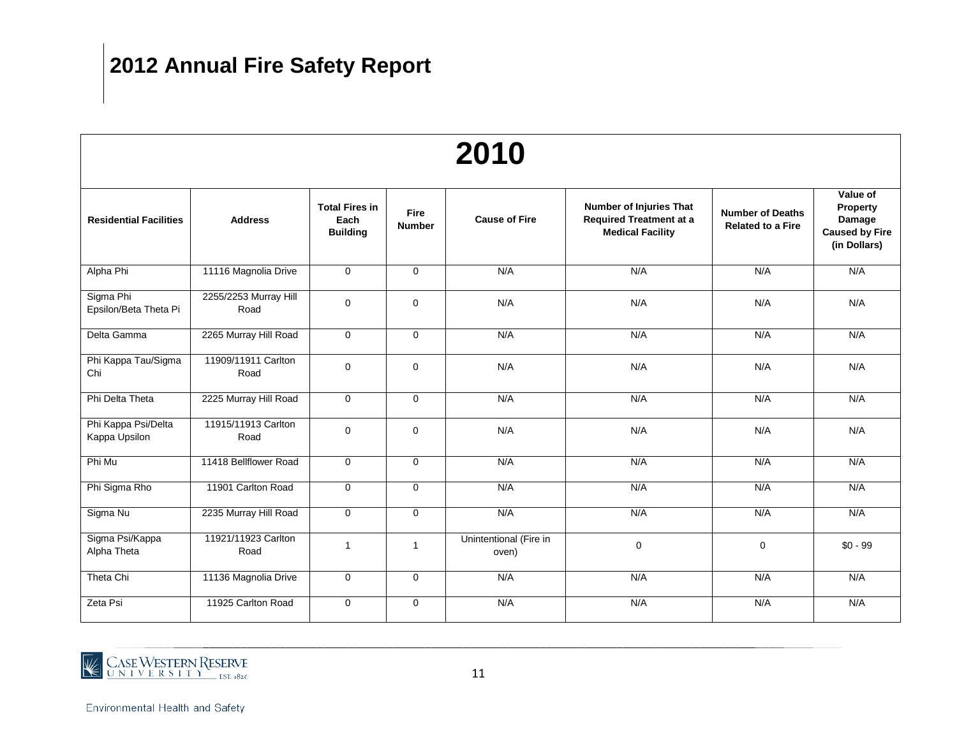| 2010                                 |                               |                                                  |                       |                                 |                                                                                             |                                                     |                                                                         |  |  |  |  |
|--------------------------------------|-------------------------------|--------------------------------------------------|-----------------------|---------------------------------|---------------------------------------------------------------------------------------------|-----------------------------------------------------|-------------------------------------------------------------------------|--|--|--|--|
| <b>Residential Facilities</b>        | <b>Address</b>                | <b>Total Fires in</b><br>Each<br><b>Building</b> | Fire<br><b>Number</b> | <b>Cause of Fire</b>            | <b>Number of Injuries That</b><br><b>Required Treatment at a</b><br><b>Medical Facility</b> | <b>Number of Deaths</b><br><b>Related to a Fire</b> | Value of<br>Property<br>Damage<br><b>Caused by Fire</b><br>(in Dollars) |  |  |  |  |
| Alpha Phi                            | 11116 Magnolia Drive          | $\mathbf{0}$                                     | $\mathbf{0}$          | N/A                             | N/A                                                                                         | N/A                                                 | N/A                                                                     |  |  |  |  |
| Sigma Phi<br>Epsilon/Beta Theta Pi   | 2255/2253 Murray Hill<br>Road | $\mathbf 0$                                      | $\mathbf 0$           | N/A                             | N/A                                                                                         | N/A                                                 | N/A                                                                     |  |  |  |  |
| Delta Gamma                          | 2265 Murray Hill Road         | $\mathbf 0$                                      | $\overline{0}$        | N/A                             | N/A                                                                                         | N/A                                                 | N/A                                                                     |  |  |  |  |
| Phi Kappa Tau/Sigma<br>Chi           | 11909/11911 Carlton<br>Road   | $\pmb{0}$                                        | $\mathbf 0$           | N/A                             | N/A                                                                                         | N/A                                                 | N/A                                                                     |  |  |  |  |
| Phi Delta Theta                      | 2225 Murray Hill Road         | $\overline{0}$                                   | $\overline{0}$        | N/A                             | N/A                                                                                         | N/A                                                 | N/A                                                                     |  |  |  |  |
| Phi Kappa Psi/Delta<br>Kappa Upsilon | 11915/11913 Carlton<br>Road   | $\mathbf 0$                                      | $\mathbf 0$           | N/A                             | N/A                                                                                         | N/A                                                 | N/A                                                                     |  |  |  |  |
| Phi Mu                               | 11418 Bellflower Road         | $\mathbf 0$                                      | $\mathbf 0$           | N/A                             | N/A                                                                                         | N/A                                                 | N/A                                                                     |  |  |  |  |
| Phi Sigma Rho                        | 11901 Carlton Road            | 0                                                | $\mathbf 0$           | N/A                             | N/A                                                                                         | N/A                                                 | N/A                                                                     |  |  |  |  |
| Sigma Nu                             | 2235 Murray Hill Road         | $\mathbf 0$                                      | $\mathbf 0$           | N/A                             | N/A                                                                                         | N/A                                                 | N/A                                                                     |  |  |  |  |
| Sigma Psi/Kappa<br>Alpha Theta       | 11921/11923 Carlton<br>Road   | $\mathbf{1}$                                     | $\mathbf{1}$          | Unintentional (Fire in<br>oven) | $\mathbf 0$                                                                                 | $\mathbf 0$                                         | $$0 - 99$                                                               |  |  |  |  |
| Theta Chi                            | 11136 Magnolia Drive          | 0                                                | $\mathbf 0$           | N/A                             | N/A                                                                                         | N/A                                                 | N/A                                                                     |  |  |  |  |
| Zeta Psi                             | 11925 Carlton Road            | 0                                                | $\mathbf 0$           | N/A                             | N/A                                                                                         | N/A                                                 | N/A                                                                     |  |  |  |  |

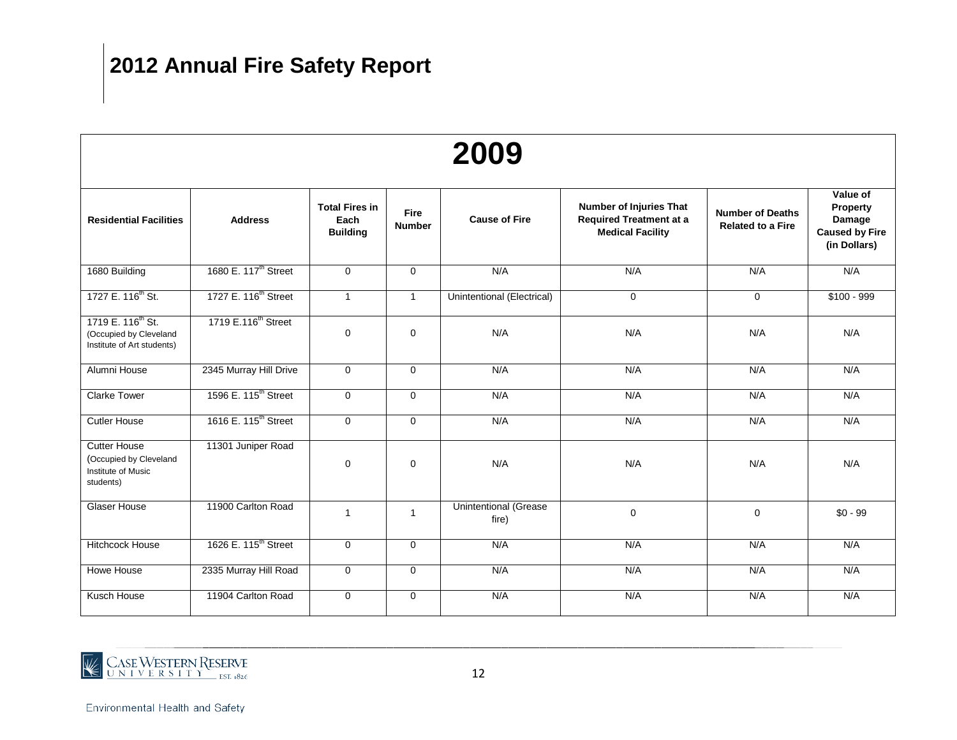| 2009                                                                                    |                                  |                                                  |                              |                                       |                                                                                      |                                                     |                                                                         |  |  |  |  |
|-----------------------------------------------------------------------------------------|----------------------------------|--------------------------------------------------|------------------------------|---------------------------------------|--------------------------------------------------------------------------------------|-----------------------------------------------------|-------------------------------------------------------------------------|--|--|--|--|
| <b>Residential Facilities</b>                                                           | <b>Address</b>                   | <b>Total Fires in</b><br>Each<br><b>Building</b> | <b>Fire</b><br><b>Number</b> | <b>Cause of Fire</b>                  | Number of Injuries That<br><b>Required Treatment at a</b><br><b>Medical Facility</b> | <b>Number of Deaths</b><br><b>Related to a Fire</b> | Value of<br>Property<br>Damage<br><b>Caused by Fire</b><br>(in Dollars) |  |  |  |  |
| 1680 Building                                                                           | 1680 E. 117 <sup>th</sup> Street | $\Omega$                                         | $\Omega$                     | N/A                                   | N/A                                                                                  | N/A                                                 | N/A                                                                     |  |  |  |  |
| 1727 E. 116 <sup>th</sup> St.                                                           | 1727 E. 116 <sup>th</sup> Street | $\mathbf{1}$                                     | $\mathbf{1}$                 | Unintentional (Electrical)            | 0                                                                                    | $\mathbf 0$                                         | $$100 - 999$                                                            |  |  |  |  |
| 1719 E. 116 <sup>th</sup> St.<br>(Occupied by Cleveland<br>Institute of Art students)   | 1719 E.116 <sup>th</sup> Street  | $\mathbf 0$                                      | $\mathbf 0$                  | N/A                                   | N/A                                                                                  | N/A                                                 | N/A                                                                     |  |  |  |  |
| Alumni House                                                                            | 2345 Murray Hill Drive           | $\mathbf 0$                                      | $\mathbf 0$                  | N/A                                   | N/A                                                                                  | N/A                                                 | N/A                                                                     |  |  |  |  |
| <b>Clarke Tower</b>                                                                     | 1596 E. 115 <sup>th</sup> Street | $\Omega$                                         | $\Omega$                     | N/A                                   | N/A                                                                                  | N/A                                                 | N/A                                                                     |  |  |  |  |
| <b>Cutler House</b>                                                                     | 1616 E. 115 <sup>th</sup> Street | $\mathbf 0$                                      | $\Omega$                     | N/A                                   | N/A                                                                                  | N/A                                                 | N/A                                                                     |  |  |  |  |
| <b>Cutter House</b><br>(Occupied by Cleveland<br><b>Institute of Music</b><br>students) | 11301 Juniper Road               | $\Omega$                                         | $\Omega$                     | N/A                                   | N/A                                                                                  | N/A                                                 | N/A                                                                     |  |  |  |  |
| <b>Glaser House</b>                                                                     | 11900 Carlton Road               | $\mathbf{1}$                                     | $\mathbf{1}$                 | <b>Unintentional (Grease</b><br>fire) | $\mathbf 0$                                                                          | $\mathbf 0$                                         | $$0 - 99$                                                               |  |  |  |  |
| Hitchcock House                                                                         | 1626 E. 115 <sup>th</sup> Street | $\mathbf 0$                                      | $\mathbf 0$                  | N/A                                   | N/A                                                                                  | N/A                                                 | N/A                                                                     |  |  |  |  |
| Howe House                                                                              | 2335 Murray Hill Road            | $\mathbf 0$                                      | $\mathbf{0}$                 | N/A                                   | N/A                                                                                  | N/A                                                 | N/A                                                                     |  |  |  |  |
| Kusch House                                                                             | 11904 Carlton Road               | $\mathbf 0$                                      | $\mathbf 0$                  | N/A                                   | N/A                                                                                  | N/A                                                 | N/A                                                                     |  |  |  |  |

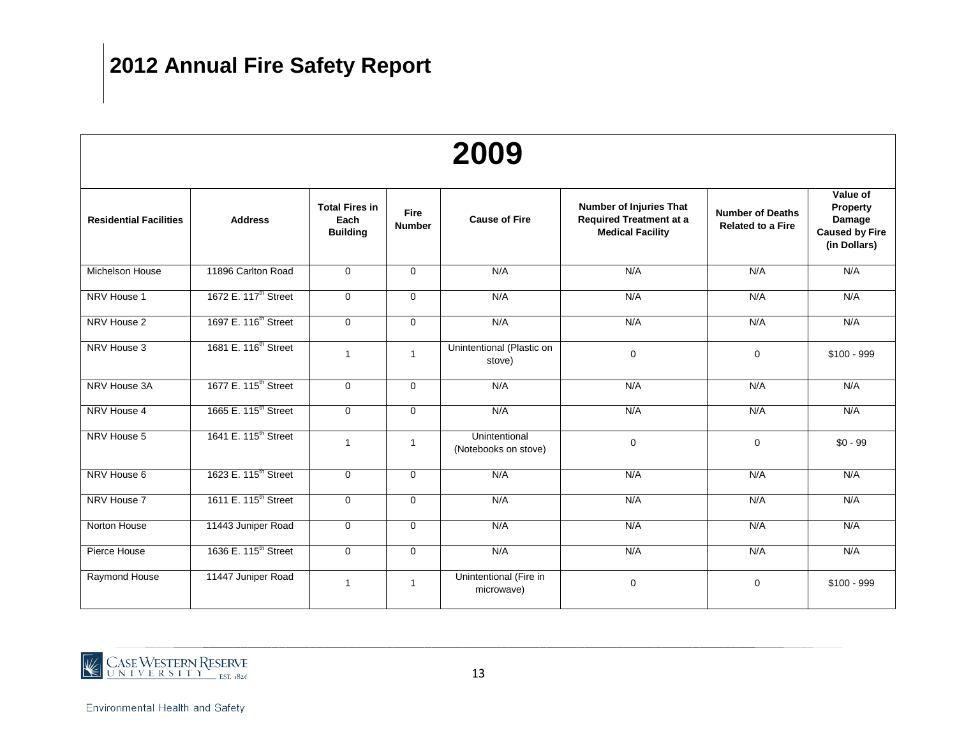| 2009                          |                                  |                                                  |                              |                                       |                                                                                      |                                                     |                                                                         |  |  |  |  |
|-------------------------------|----------------------------------|--------------------------------------------------|------------------------------|---------------------------------------|--------------------------------------------------------------------------------------|-----------------------------------------------------|-------------------------------------------------------------------------|--|--|--|--|
| <b>Residential Facilities</b> | <b>Address</b>                   | <b>Total Fires in</b><br>Each<br><b>Building</b> | <b>Fire</b><br><b>Number</b> | <b>Cause of Fire</b>                  | Number of Injuries That<br><b>Required Treatment at a</b><br><b>Medical Facility</b> | <b>Number of Deaths</b><br><b>Related to a Fire</b> | Value of<br>Property<br>Damage<br><b>Caused by Fire</b><br>(in Dollars) |  |  |  |  |
| Michelson House               | 11896 Carlton Road               | $\mathbf 0$                                      | $\mathbf 0$                  | N/A                                   | N/A                                                                                  | N/A                                                 | N/A                                                                     |  |  |  |  |
| NRV House 1                   | 1672 E. 117 <sup>th</sup> Street | $\mathbf 0$                                      | $\mathbf 0$                  | N/A                                   | N/A                                                                                  | N/A                                                 | N/A                                                                     |  |  |  |  |
| NRV House 2                   | 1697 E. 116 <sup>th</sup> Street | $\mathbf 0$                                      | $\mathbf 0$                  | N/A                                   | N/A                                                                                  | N/A                                                 | N/A                                                                     |  |  |  |  |
| NRV House 3                   | 1681 E. 116 <sup>th</sup> Street | $\mathbf{1}$                                     | $\mathbf{1}$                 | Unintentional (Plastic on<br>stove)   | $\mathbf 0$                                                                          | $\mathbf 0$                                         | $$100 - 999$                                                            |  |  |  |  |
| NRV House 3A                  | 1677 E. 115 <sup>th</sup> Street | $\mathbf 0$                                      | $\mathbf 0$                  | N/A                                   | N/A                                                                                  | N/A                                                 | N/A                                                                     |  |  |  |  |
| NRV House 4                   | 1665 E. 115 <sup>th</sup> Street | $\mathbf 0$                                      | $\mathbf 0$                  | N/A                                   | N/A                                                                                  | N/A                                                 | N/A                                                                     |  |  |  |  |
| NRV House 5                   | 1641 E. 115 <sup>th</sup> Street | 1                                                | $\overline{1}$               | Unintentional<br>(Notebooks on stove) | $\mathbf 0$                                                                          | $\mathbf 0$                                         | $$0 - 99$                                                               |  |  |  |  |
| NRV House 6                   | 1623 E. 115 <sup>th</sup> Street | $\mathbf 0$                                      | $\mathbf 0$                  | N/A                                   | N/A                                                                                  | N/A                                                 | N/A                                                                     |  |  |  |  |
| NRV House 7                   | 1611 E. 115 <sup>th</sup> Street | $\mathbf 0$                                      | $\mathbf 0$                  | N/A                                   | N/A                                                                                  | N/A                                                 | N/A                                                                     |  |  |  |  |
| Norton House                  | 11443 Juniper Road               | $\mathbf 0$                                      | $\mathbf 0$                  | N/A                                   | N/A                                                                                  | N/A                                                 | N/A                                                                     |  |  |  |  |
| Pierce House                  | 1636 E. 115 <sup>th</sup> Street | $\mathbf 0$                                      | $\mathbf 0$                  | N/A                                   | N/A                                                                                  | N/A                                                 | N/A                                                                     |  |  |  |  |
| Raymond House                 | 11447 Juniper Road               | 1                                                | $\overline{1}$               | Unintentional (Fire in<br>microwave)  | $\Omega$                                                                             | $\mathbf 0$                                         | $$100 - 999$                                                            |  |  |  |  |

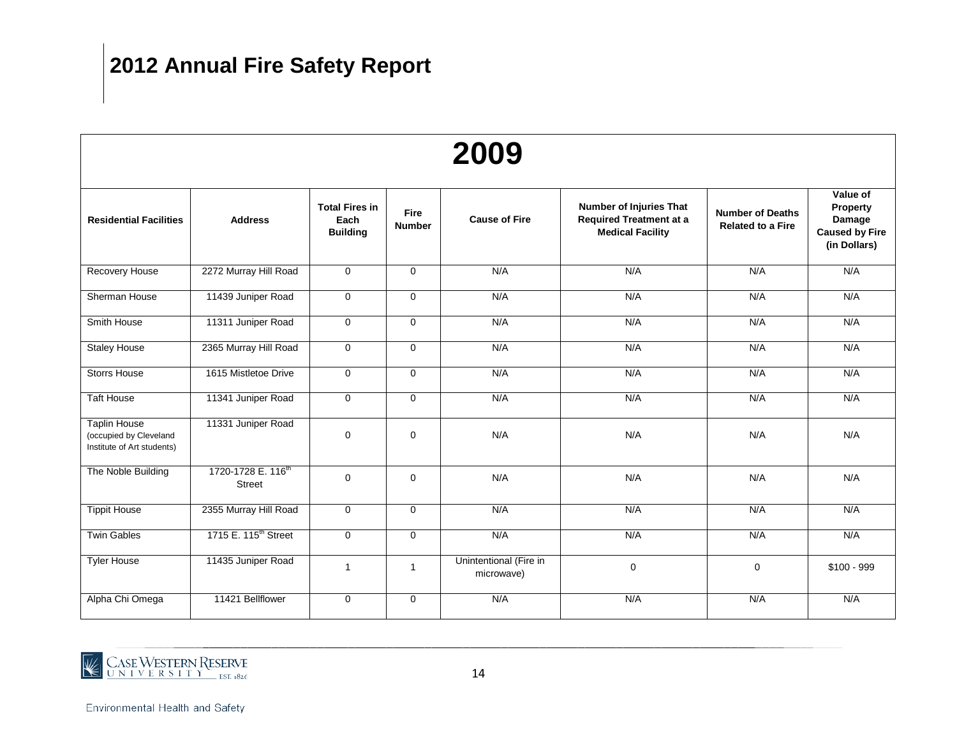| 2009                                                                        |                                                 |                                                  |                              |                                      |                                                                                             |                                                     |                                                                         |  |  |  |  |
|-----------------------------------------------------------------------------|-------------------------------------------------|--------------------------------------------------|------------------------------|--------------------------------------|---------------------------------------------------------------------------------------------|-----------------------------------------------------|-------------------------------------------------------------------------|--|--|--|--|
| <b>Residential Facilities</b>                                               | <b>Address</b>                                  | <b>Total Fires in</b><br>Each<br><b>Building</b> | <b>Fire</b><br><b>Number</b> | <b>Cause of Fire</b>                 | <b>Number of Injuries That</b><br><b>Required Treatment at a</b><br><b>Medical Facility</b> | <b>Number of Deaths</b><br><b>Related to a Fire</b> | Value of<br>Property<br>Damage<br><b>Caused by Fire</b><br>(in Dollars) |  |  |  |  |
| Recovery House                                                              | 2272 Murray Hill Road                           | $\mathbf 0$                                      | $\mathbf 0$                  | N/A                                  | N/A                                                                                         | N/A                                                 | N/A                                                                     |  |  |  |  |
| Sherman House                                                               | 11439 Juniper Road                              | $\mathbf 0$                                      | $\mathbf 0$                  | N/A                                  | N/A                                                                                         | N/A                                                 | N/A                                                                     |  |  |  |  |
| Smith House                                                                 | 11311 Juniper Road                              | $\mathbf 0$                                      | $\mathbf 0$                  | N/A                                  | N/A                                                                                         | N/A                                                 | N/A                                                                     |  |  |  |  |
| <b>Staley House</b>                                                         | 2365 Murray Hill Road                           | $\mathbf 0$                                      | $\mathbf 0$                  | N/A                                  | N/A                                                                                         | N/A                                                 | N/A                                                                     |  |  |  |  |
| <b>Storrs House</b>                                                         | 1615 Mistletoe Drive                            | $\mathbf 0$                                      | $\mathbf 0$                  | N/A                                  | N/A                                                                                         | N/A                                                 | N/A                                                                     |  |  |  |  |
| <b>Taft House</b>                                                           | 11341 Juniper Road                              | $\mathbf 0$                                      | $\mathbf{0}$                 | N/A                                  | N/A                                                                                         | N/A                                                 | N/A                                                                     |  |  |  |  |
| <b>Taplin House</b><br>(occupied by Cleveland<br>Institute of Art students) | 11331 Juniper Road                              | $\mathbf 0$                                      | $\mathbf 0$                  | N/A                                  | N/A                                                                                         | N/A                                                 | N/A                                                                     |  |  |  |  |
| The Noble Building                                                          | 1720-1728 E. 116 <sup>th</sup><br><b>Street</b> | $\Omega$                                         | $\mathbf 0$                  | N/A                                  | N/A                                                                                         | N/A                                                 | N/A                                                                     |  |  |  |  |
| <b>Tippit House</b>                                                         | 2355 Murray Hill Road                           | $\mathbf 0$                                      | $\mathbf 0$                  | N/A                                  | N/A                                                                                         | N/A                                                 | N/A                                                                     |  |  |  |  |
| <b>Twin Gables</b>                                                          | 1715 E. 115 <sup>th</sup> Street                | $\mathbf 0$                                      | $\mathbf 0$                  | N/A                                  | N/A                                                                                         | N/A                                                 | N/A                                                                     |  |  |  |  |
| <b>Tyler House</b>                                                          | 11435 Juniper Road                              | $\overline{1}$                                   | $\mathbf{1}$                 | Unintentional (Fire in<br>microwave) | $\mathbf 0$                                                                                 | 0                                                   | $$100 - 999$                                                            |  |  |  |  |
| Alpha Chi Omega                                                             | 11421 Bellflower                                | $\mathbf 0$                                      | $\mathbf 0$                  | N/A                                  | N/A                                                                                         | N/A                                                 | N/A                                                                     |  |  |  |  |

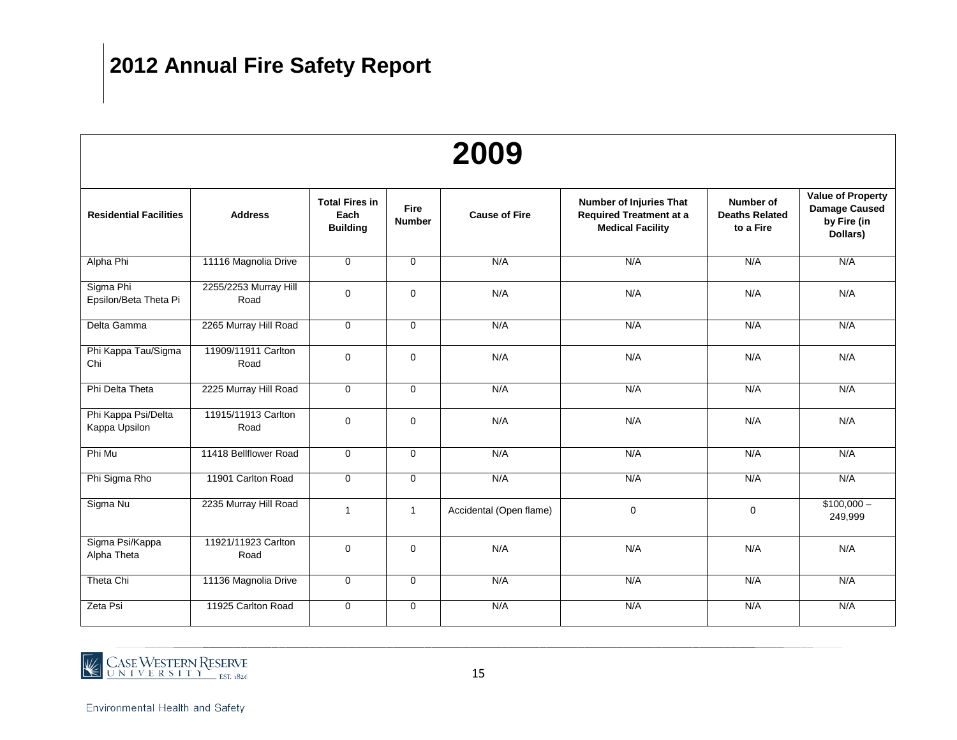| 2009                                 |                               |                                                  |                              |                         |                                                                                             |                                                 |                                                                             |  |  |  |  |
|--------------------------------------|-------------------------------|--------------------------------------------------|------------------------------|-------------------------|---------------------------------------------------------------------------------------------|-------------------------------------------------|-----------------------------------------------------------------------------|--|--|--|--|
| <b>Residential Facilities</b>        | <b>Address</b>                | <b>Total Fires in</b><br>Each<br><b>Building</b> | <b>Fire</b><br><b>Number</b> | <b>Cause of Fire</b>    | <b>Number of Injuries That</b><br><b>Required Treatment at a</b><br><b>Medical Facility</b> | Number of<br><b>Deaths Related</b><br>to a Fire | <b>Value of Property</b><br><b>Damage Caused</b><br>by Fire (in<br>Dollars) |  |  |  |  |
| Alpha Phi                            | 11116 Magnolia Drive          | $\mathbf 0$                                      | $\mathbf 0$                  | N/A                     | N/A                                                                                         | N/A                                             | N/A                                                                         |  |  |  |  |
| Sigma Phi<br>Epsilon/Beta Theta Pi   | 2255/2253 Murray Hill<br>Road | 0                                                | $\mathbf 0$                  | N/A                     | N/A                                                                                         | N/A                                             | N/A                                                                         |  |  |  |  |
| Delta Gamma                          | 2265 Murray Hill Road         | $\mathbf 0$                                      | $\mathbf 0$                  | N/A                     | N/A                                                                                         | N/A                                             | N/A                                                                         |  |  |  |  |
| Phi Kappa Tau/Sigma<br>Chi           | 11909/11911 Carlton<br>Road   | $\pmb{0}$                                        | $\mathbf 0$                  | N/A                     | N/A                                                                                         | N/A                                             | N/A                                                                         |  |  |  |  |
| Phi Delta Theta                      | 2225 Murray Hill Road         | $\mathbf 0$                                      | $\mathbf 0$                  | N/A                     | N/A                                                                                         | N/A                                             | N/A                                                                         |  |  |  |  |
| Phi Kappa Psi/Delta<br>Kappa Upsilon | 11915/11913 Carlton<br>Road   | $\mathbf 0$                                      | $\mathbf 0$                  | N/A                     | N/A                                                                                         | N/A                                             | N/A                                                                         |  |  |  |  |
| Phi Mu                               | 11418 Bellflower Road         | $\mathbf 0$                                      | $\mathbf 0$                  | N/A                     | N/A                                                                                         | N/A                                             | N/A                                                                         |  |  |  |  |
| Phi Sigma Rho                        | 11901 Carlton Road            | $\mathbf 0$                                      | $\mathbf 0$                  | N/A                     | N/A                                                                                         | N/A                                             | N/A                                                                         |  |  |  |  |
| Sigma Nu                             | 2235 Murray Hill Road         | $\mathbf{1}$                                     | $\mathbf{1}$                 | Accidental (Open flame) | $\mathbf 0$                                                                                 | $\mathbf 0$                                     | $$100,000-$<br>249,999                                                      |  |  |  |  |
| Sigma Psi/Kappa<br>Alpha Theta       | 11921/11923 Carlton<br>Road   | 0                                                | $\mathbf 0$                  | N/A                     | N/A                                                                                         | N/A                                             | N/A                                                                         |  |  |  |  |
| Theta Chi                            | 11136 Magnolia Drive          | $\mathbf 0$                                      | $\mathbf 0$                  | N/A                     | N/A                                                                                         | N/A                                             | N/A                                                                         |  |  |  |  |
| Zeta Psi                             | 11925 Carlton Road            | 0                                                | $\mathbf 0$                  | N/A                     | N/A                                                                                         | N/A                                             | N/A                                                                         |  |  |  |  |

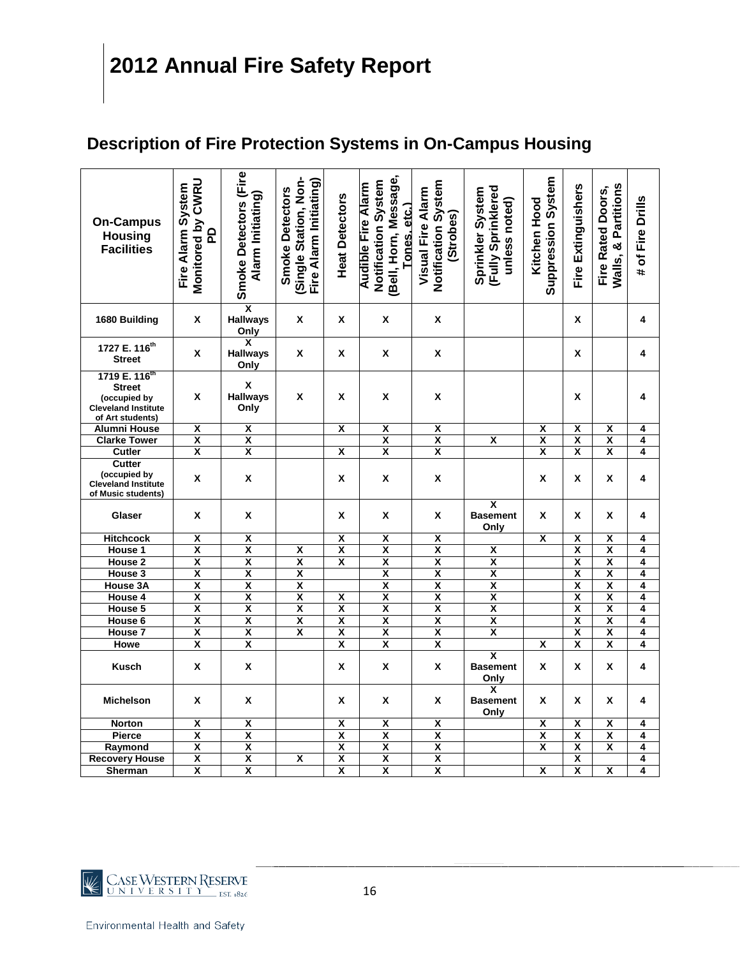### **Description of Fire Protection Systems in On-Campus Housing**

| <b>On-Campus</b><br><b>Housing</b><br><b>Facilities</b>                                                      | Monitored by CWRU<br>Fire Alarm System<br><u>P</u> | Smoke Detectors (Fire<br>Alarm Initiating) | Single Station, Non-<br>Fire Alarm Initiating)<br><b>Smoke Detectors</b> | <b>Heat Detectors</b>   | [Bell, Horn, Message,<br>Notification System<br><b>Audible Fire Alarm</b><br>Tones. etc.) | Notification System<br><b>Visual Fire Alarm</b><br>(Strobes) | (Fully Sprinklered<br>Sprinkler System<br>unless noted) | <b>Suppression System</b><br><b>Kitchen Hood</b> | Fire Extinguishers      | Walls, & Partitions<br><b>Fire Rated Doors,</b> | # of Fire Drills |
|--------------------------------------------------------------------------------------------------------------|----------------------------------------------------|--------------------------------------------|--------------------------------------------------------------------------|-------------------------|-------------------------------------------------------------------------------------------|--------------------------------------------------------------|---------------------------------------------------------|--------------------------------------------------|-------------------------|-------------------------------------------------|------------------|
| 1680 Building                                                                                                | X                                                  | χ<br><b>Hallways</b><br>Only               | X                                                                        | X                       | X                                                                                         | X                                                            |                                                         |                                                  | X                       |                                                 | 4                |
| 1727 E. 116 <sup>th</sup><br><b>Street</b>                                                                   | X                                                  | X<br><b>Hallways</b><br>Only               | Χ                                                                        | X                       | X                                                                                         | X                                                            |                                                         |                                                  | x                       |                                                 | 4                |
| 1719 E. 116 <sup>th</sup><br><b>Street</b><br>(occupied by<br><b>Cleveland Institute</b><br>of Art students) | X                                                  | $\mathsf{x}$<br><b>Hallways</b><br>Only    | X                                                                        | X                       | χ                                                                                         | X                                                            |                                                         |                                                  | X                       |                                                 | 4                |
| <b>Alumni House</b>                                                                                          | χ                                                  | χ                                          |                                                                          | χ                       | χ                                                                                         | χ                                                            |                                                         | χ                                                | χ                       | χ                                               | 4                |
| <b>Clarke Tower</b>                                                                                          | $\overline{\mathbf{x}}$                            | $\overline{\mathbf{x}}$                    |                                                                          |                         | $\overline{\mathbf{x}}$                                                                   | $\overline{\mathbf{x}}$                                      | X                                                       | $\overline{\mathbf{x}}$                          | $\overline{\mathbf{x}}$ | $\overline{\mathbf{x}}$                         | 4                |
| Cutler                                                                                                       | $\overline{\mathsf{x}}$                            | $\overline{\mathsf{x}}$                    |                                                                          | $\overline{\mathsf{x}}$ | $\overline{\mathsf{x}}$                                                                   | $\overline{\mathbf{x}}$                                      |                                                         | $\overline{\mathbf{x}}$                          | $\overline{\mathbf{x}}$ | $\overline{\mathsf{x}}$                         | 4                |
| <b>Cutter</b>                                                                                                |                                                    |                                            |                                                                          |                         |                                                                                           |                                                              |                                                         |                                                  |                         |                                                 |                  |
| (occupied by<br><b>Cleveland Institute</b><br>of Music students)                                             | Χ                                                  | $\pmb{\mathsf{X}}$                         |                                                                          | Χ                       | X                                                                                         | X                                                            |                                                         | x                                                | X                       | X                                               | 4                |
| Glaser                                                                                                       | X                                                  | X                                          |                                                                          | X                       | X                                                                                         | X                                                            | $\overline{\mathbf{x}}$<br><b>Basement</b><br>Only      | X                                                | X                       | X                                               | 4                |
| <b>Hitchcock</b>                                                                                             | $\overline{\mathbf{x}}$                            | $\overline{\mathbf{x}}$                    |                                                                          | $\overline{\mathbf{x}}$ | X                                                                                         | X                                                            |                                                         | $\overline{\mathsf{x}}$                          | χ                       | X                                               | 4                |
| House 1                                                                                                      | $\overline{\mathbf{x}}$                            | $\overline{\mathbf{x}}$                    | $\overline{\mathbf{x}}$                                                  | $\overline{\mathbf{x}}$ | $\overline{\mathbf{x}}$                                                                   | $\overline{\mathbf{x}}$                                      | $\overline{\mathbf{x}}$                                 |                                                  | $\overline{\mathsf{x}}$ | χ                                               | 4                |
| House <sub>2</sub>                                                                                           | $\overline{\mathbf{x}}$                            | $\overline{\mathbf{x}}$                    | $\overline{\mathbf{x}}$                                                  | $\overline{\mathbf{x}}$ | $\overline{\mathbf{x}}$                                                                   | $\overline{\mathbf{x}}$                                      | $\overline{\mathbf{x}}$                                 |                                                  | $\overline{\mathbf{x}}$ | $\overline{\mathbf{x}}$                         | 4                |
| House 3                                                                                                      | $\overline{\mathbf{x}}$                            | $\overline{\mathbf{x}}$                    | $\overline{\mathbf{x}}$                                                  |                         | $\overline{\mathbf{x}}$                                                                   | $\overline{\mathbf{x}}$                                      | $\overline{\mathbf{x}}$                                 |                                                  | $\overline{\mathsf{x}}$ | $\overline{\mathbf{x}}$                         | 4                |
| House 3A                                                                                                     | $\overline{\mathbf{x}}$                            | $\overline{\mathsf{x}}$                    | $\overline{\mathbf{x}}$                                                  |                         | $\overline{\mathbf{x}}$                                                                   | $\overline{\mathbf{x}}$                                      | $\overline{\mathbf{x}}$                                 |                                                  | $\overline{\mathbf{x}}$ | $\overline{\mathbf{x}}$                         | 4                |
| House 4                                                                                                      | X                                                  | $\overline{\mathsf{x}}$                    | $\overline{\mathbf{x}}$                                                  | $\overline{\mathsf{x}}$ | $\overline{\mathbf{x}}$                                                                   | $\overline{\mathbf{x}}$                                      | $\overline{\mathbf{x}}$                                 |                                                  | $\overline{\mathbf{x}}$ | $\overline{\mathbf{x}}$                         | 4                |
| House 5                                                                                                      | $\overline{\mathbf{x}}$                            | $\overline{\mathbf{x}}$                    | $\overline{\mathbf{x}}$                                                  | $\overline{\mathbf{x}}$ | $\overline{\mathbf{x}}$                                                                   | $\overline{\mathsf{x}}$                                      | $\overline{\mathbf{x}}$                                 |                                                  | $\overline{\mathbf{x}}$ | $\overline{\mathbf{x}}$                         | 4                |
| House 6                                                                                                      | $\overline{\mathbf{x}}$                            | $\overline{\mathbf{x}}$                    | $\overline{\mathbf{x}}$                                                  | $\overline{\mathbf{x}}$ | $\overline{\mathbf{x}}$                                                                   | $\overline{\mathbf{x}}$                                      | $\overline{\mathbf{x}}$                                 |                                                  | $\overline{\mathsf{x}}$ | $\overline{\mathbf{x}}$                         | 4                |
| House <sub>7</sub>                                                                                           | $\overline{\mathbf{x}}$                            | $\overline{\mathbf{x}}$                    | X                                                                        | $\overline{\mathbf{x}}$ | $\overline{\mathbf{x}}$                                                                   | $\overline{\mathbf{x}}$                                      | X                                                       |                                                  | χ                       | $\overline{\mathbf{x}}$                         | 4                |
| Howe                                                                                                         | $\overline{\mathbf{x}}$                            | $\overline{\mathbf{x}}$                    |                                                                          | $\overline{\mathbf{x}}$ | $\overline{\mathbf{x}}$                                                                   | $\overline{\mathbf{x}}$                                      |                                                         | $\overline{\mathbf{x}}$                          | $\overline{\mathbf{x}}$ | $\overline{\mathbf{x}}$                         | 4                |
| <b>Kusch</b>                                                                                                 | X                                                  | X                                          |                                                                          | X                       | X                                                                                         | X                                                            | $\overline{\mathbf{x}}$<br><b>Basement</b><br>Only      | X                                                | X                       | X                                               | 4                |
| <b>Michelson</b>                                                                                             | Χ                                                  | X                                          |                                                                          | Χ                       | X                                                                                         | X                                                            | X<br><b>Basement</b><br>Only                            | X                                                | X                       | X                                               | 4                |
| <b>Norton</b>                                                                                                | X                                                  | χ                                          |                                                                          | X                       | $\overline{\mathsf{x}}$                                                                   | $\overline{\mathbf{x}}$                                      |                                                         | χ                                                | $\overline{\mathbf{x}}$ | X                                               | 4                |
| <b>Pierce</b>                                                                                                | $\overline{\mathbf{x}}$                            | $\overline{\mathbf{x}}$                    |                                                                          | $\overline{\mathbf{x}}$ | $\overline{\mathbf{x}}$                                                                   | $\overline{\mathbf{x}}$                                      |                                                         | $\overline{\mathbf{x}}$                          | $\overline{\mathbf{x}}$ | $\overline{\mathbf{x}}$                         | 4                |
| Raymond                                                                                                      | χ                                                  | $\overline{\mathbf{x}}$                    |                                                                          | $\overline{\mathbf{x}}$ | $\overline{\mathbf{x}}$                                                                   | $\overline{\mathbf{x}}$                                      |                                                         | $\overline{\mathsf{x}}$                          | $\overline{\mathbf{x}}$ | χ                                               | 4                |
| <b>Recovery House</b>                                                                                        | $\overline{\mathbf{x}}$                            | $\overline{\mathbf{x}}$                    | X                                                                        | $\overline{\mathbf{x}}$ | $\overline{\mathbf{x}}$                                                                   | $\overline{\mathbf{x}}$                                      |                                                         |                                                  | $\overline{\mathbf{x}}$ |                                                 | 4                |
| Sherman                                                                                                      | X                                                  | χ                                          |                                                                          | X                       | $\overline{\mathbf{x}}$                                                                   | $\overline{\mathbf{x}}$                                      |                                                         | χ                                                | $\overline{\mathsf{x}}$ | X                                               | 4                |

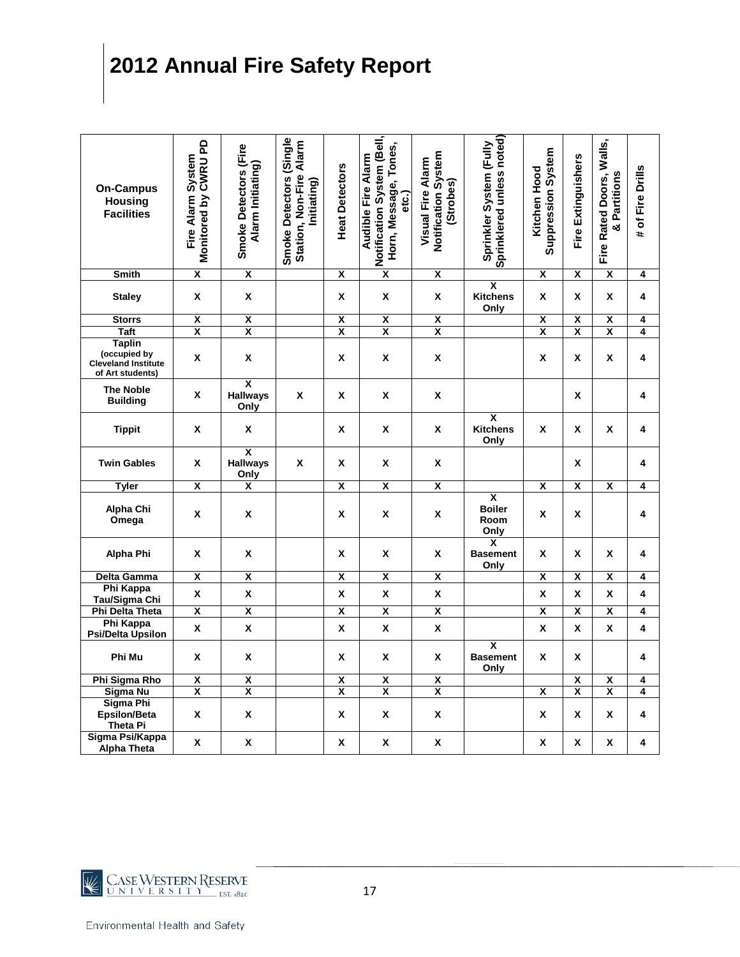| <b>On-Campus</b><br><b>Housing</b><br><b>Facilities</b>                         | Monitored by CWRU PD<br>Fire Alarm System | Smoke Detectors (Fire<br>Alarm Initiating)         | Smoke Detectors (Single<br>Station, Non-Fire Alarm<br>Initiating) | <b>Heat Detectors</b>   | Notification System (Bell,<br>Horn, Message, Tones,<br><b>Audible Fire Alarm</b><br>etc.) | Notification System<br><b>Visual Fire Alarm</b><br>(Strobes) | Sprinklered unless noted)<br>Sprinkler System (Fully     | Suppression System<br>Kitchen Hood | Fire Extinguishers      | Fire Rated Doors, Walls,<br>& Partitions | # of Fire Drills        |
|---------------------------------------------------------------------------------|-------------------------------------------|----------------------------------------------------|-------------------------------------------------------------------|-------------------------|-------------------------------------------------------------------------------------------|--------------------------------------------------------------|----------------------------------------------------------|------------------------------------|-------------------------|------------------------------------------|-------------------------|
| <b>Smith</b>                                                                    | $\overline{\mathbf{x}}$                   | $\overline{\mathbf{x}}$                            |                                                                   | $\overline{\mathbf{x}}$ | $\overline{\mathsf{x}}$                                                                   | $\overline{\mathbf{x}}$                                      |                                                          | $\overline{\mathsf{x}}$            | $\overline{\mathsf{x}}$ | $\overline{\mathsf{x}}$                  | $\overline{\mathbf{4}}$ |
| <b>Staley</b>                                                                   | X                                         | X                                                  |                                                                   | X                       | X                                                                                         | Χ                                                            | $\overline{\mathbf{x}}$<br><b>Kitchens</b><br>Only       | X                                  | X                       | X                                        | 4                       |
| <b>Storrs</b>                                                                   | $\overline{\mathsf{x}}$                   | $\overline{\mathsf{x}}$                            |                                                                   | X                       | $\overline{\mathbf{x}}$                                                                   | $\overline{\mathbf{x}}$                                      |                                                          | $\overline{\mathbf{x}}$            | $\overline{\mathsf{x}}$ | $\overline{\mathbf{x}}$                  | 4                       |
| <b>Taft</b>                                                                     | $\overline{\mathbf{x}}$                   | $\overline{\mathbf{x}}$                            |                                                                   | $\overline{\mathbf{x}}$ | $\overline{\mathbf{x}}$                                                                   | $\overline{\mathbf{X}}$                                      |                                                          | $\overline{\mathbf{x}}$            | $\overline{\mathbf{x}}$ | $\overline{\mathbf{x}}$                  | 4                       |
| <b>Taplin</b><br>(occupied by<br><b>Cleveland Institute</b><br>of Art students) | X                                         | X                                                  |                                                                   | X                       | X                                                                                         | X                                                            |                                                          | X                                  | X                       | X                                        | 4                       |
| <b>The Noble</b><br><b>Building</b>                                             | X                                         | $\overline{\mathbf{x}}$<br><b>Hallways</b><br>Only | X                                                                 | X                       | X                                                                                         | X                                                            |                                                          |                                    | X                       |                                          | 4                       |
| <b>Tippit</b>                                                                   | Χ                                         | X                                                  |                                                                   | X                       | Χ                                                                                         | Χ                                                            | $\overline{\mathbf{x}}$<br>Kitchens<br>Only              | X                                  | Χ                       | X                                        | 4                       |
| <b>Twin Gables</b>                                                              | X                                         | $\overline{\mathbf{x}}$<br><b>Hallways</b><br>Only | X                                                                 | X                       | X                                                                                         | X                                                            |                                                          |                                    | X                       |                                          | 4                       |
| <b>Tyler</b>                                                                    | X                                         | $\overline{\mathbf{x}}$                            |                                                                   | X                       | X                                                                                         | $\overline{\mathbf{X}}$                                      |                                                          | X                                  | X                       | $\overline{\mathbf{x}}$                  | 4                       |
| Alpha Chi<br>Omega                                                              | X                                         | X                                                  |                                                                   | Χ                       | X                                                                                         | X                                                            | $\overline{\mathbf{x}}$<br><b>Boiler</b><br>Room<br>Only | X                                  | Χ                       |                                          | 4                       |
| Alpha Phi                                                                       | X                                         | X                                                  |                                                                   | X                       | X                                                                                         | Χ                                                            | X<br><b>Basement</b><br>Only                             | X                                  | X                       | X                                        | 4                       |
| <b>Delta Gamma</b>                                                              | $\overline{\mathbf{x}}$                   | X                                                  |                                                                   | X                       | $\overline{\mathbf{x}}$                                                                   | $\overline{\mathbf{X}}$                                      |                                                          | $\overline{\mathbf{x}}$            | $\overline{\mathbf{x}}$ | $\overline{\mathbf{x}}$                  | 4                       |
| <b>Phi Kappa</b><br>Tau/Sigma Chi                                               | X                                         | X                                                  |                                                                   | X                       | X                                                                                         | X                                                            |                                                          | X                                  | X                       | X                                        | 4                       |
| <b>Phi Delta Theta</b>                                                          | $\overline{\mathbf{X}}$                   | X                                                  |                                                                   | $\overline{\mathbf{x}}$ | $\overline{\mathbf{X}}$                                                                   | $\overline{\mathbf{x}}$                                      |                                                          | $\overline{\mathbf{x}}$            | χ                       | $\overline{\mathbf{x}}$                  | 4                       |
| <b>Phi Kappa</b><br>Psi/Delta Upsilon                                           | X                                         | X                                                  |                                                                   | X                       | $\pmb{\mathsf{X}}$                                                                        | X                                                            |                                                          | X                                  | X                       | χ                                        | 4                       |
| Phi Mu                                                                          | X                                         | X                                                  |                                                                   | X                       | X                                                                                         | X                                                            | $\overline{\mathsf{x}}$<br><b>Basement</b><br>Only       | X                                  | X                       |                                          | 4                       |
| Phi Sigma Rho                                                                   | $\overline{\mathbf{X}}$                   | X                                                  |                                                                   | X                       | X                                                                                         | $\overline{\mathbf{X}}$                                      |                                                          |                                    | $\overline{\mathbf{x}}$ | Χ                                        | 4                       |
| Sigma Nu                                                                        | X                                         | χ                                                  |                                                                   | X                       | X                                                                                         | $\overline{\mathbf{x}}$                                      |                                                          | χ                                  | χ                       | X                                        | 4                       |
| Sigma Phi<br>Epsilon/Beta<br><b>Theta Pi</b>                                    | X                                         | X                                                  |                                                                   | X                       | X                                                                                         | X                                                            |                                                          | X                                  | X                       | X                                        | 4                       |
| Sigma Psi/Kappa<br><b>Alpha Theta</b>                                           | X                                         | X                                                  |                                                                   | X                       | X                                                                                         | X                                                            |                                                          | X                                  | X                       | X                                        | 4                       |

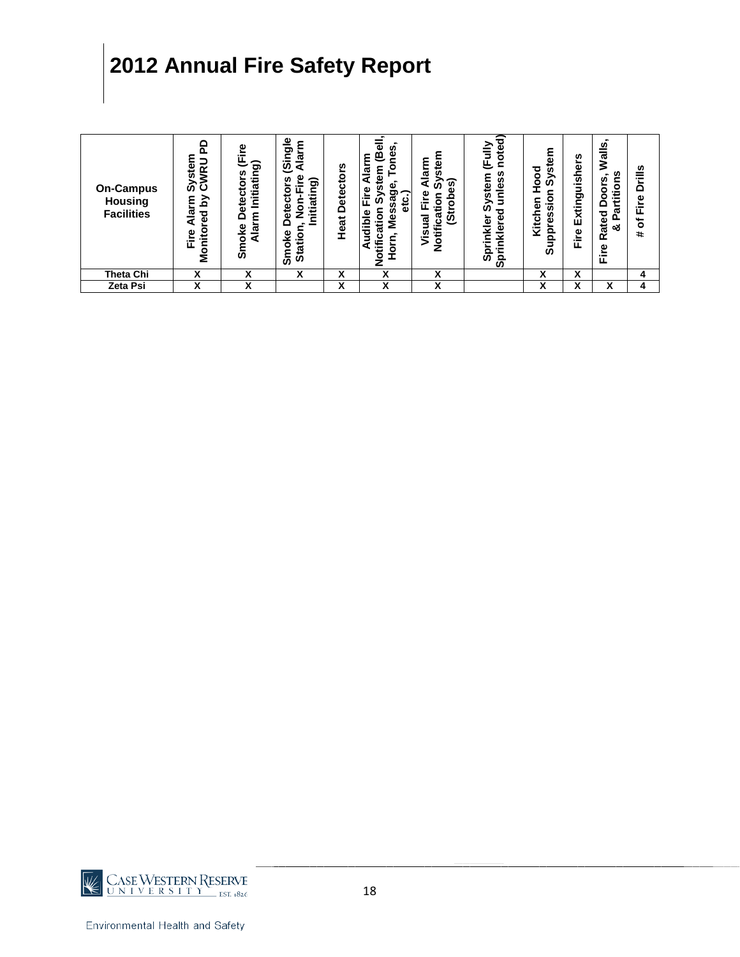| <b>On-Campus</b><br>Housing<br><b>Facilities</b> | o<br>≃<br>ပ<br>ίŊ<br>≲<br>ਹ<br>ᠭᠣ<br>Φ<br>잍<br>ø<br>Ξ<br>å | စ္<br>ත<br>n<br>Initiatin<br>ō<br>ပ<br>ω<br>ద్<br>٤<br>o<br>ତ୍ୟ<br>ai<br>A<br>Smol | $\frac{6}{5}$<br>ᠭᢐ<br>ق<br>ທ<br>ಕಾ<br>٥<br>ಸ<br>υ<br>₫<br>Ë<br>ω<br>٥<br>٧e<br>Statio<br>٥<br>န္တ | s,<br>etector<br>≏<br>Heat | Φ<br>n<br>ā<br>۹<br>c<br>٤<br>ω<br>а<br>ω<br>ၑ<br><b>Ú)</b><br>١i<br>ᠭᠣ<br>ی<br>ā<br>ω<br>٥<br>Φ<br>۵<br>÷<br>Ź<br>æ<br>ਹ<br>Š<br>a<br>ō<br>Ó<br>c | ε<br>9<br>Ste<br>ø<br>ົທ<br>e<br>Eir<br>ទ<br>å<br>ਛ<br><u>ಸ</u><br><b>Ú)</b><br>⊶<br>Notifi<br>n<br>╍ | noted<br>Щ.<br>U)<br>stem<br>unles<br>⋗<br>m<br>о<br>ò<br>Φ<br>亏<br>$\frac{1}{2}$<br>-<br>တိ<br>ā | ٤<br>ω<br>ਹ<br><b>in</b><br>$\circ$<br>ଜି<br>٥<br>⊂<br>iois<br>Φ<br>n<br>Kitcl<br>ق<br>Supp | U)<br>Extinguisher<br>Fire | <u>ທ</u><br>ಸ<br>itions<br>$\blacksquare$<br>oors<br>ゼ<br>$\Omega$<br>ᢐ<br>ated<br>o.<br>య<br>œ<br>Φ<br>∸<br>ட | <b>Drills</b><br>Fire<br>৳<br>$\ddot{}$ |
|--------------------------------------------------|------------------------------------------------------------|------------------------------------------------------------------------------------|----------------------------------------------------------------------------------------------------|----------------------------|----------------------------------------------------------------------------------------------------------------------------------------------------|-------------------------------------------------------------------------------------------------------|---------------------------------------------------------------------------------------------------|---------------------------------------------------------------------------------------------|----------------------------|----------------------------------------------------------------------------------------------------------------|-----------------------------------------|
| Theta Chi                                        | v<br>Λ                                                     | v                                                                                  | x                                                                                                  | x                          | x                                                                                                                                                  | v<br>^                                                                                                |                                                                                                   | X                                                                                           | x                          |                                                                                                                | 4                                       |
| Zeta Psi                                         | v<br>Λ                                                     | x                                                                                  |                                                                                                    | x                          | x                                                                                                                                                  | X                                                                                                     |                                                                                                   | x                                                                                           | v<br>^                     | v<br>ᄉ                                                                                                         | 4                                       |

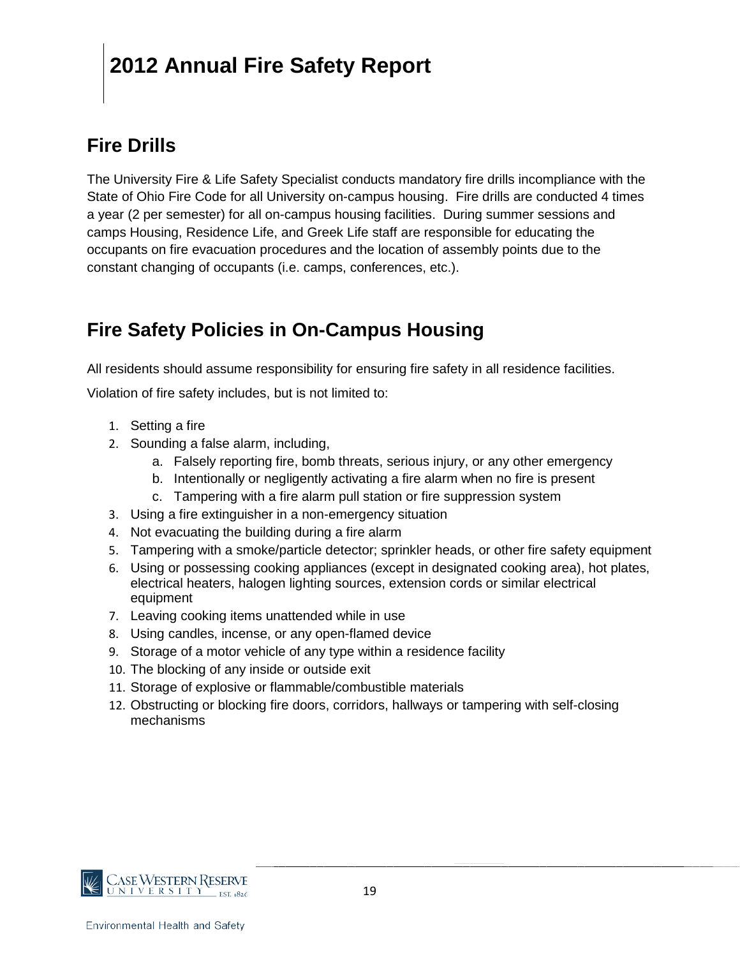### **Fire Drills**

The University Fire & Life Safety Specialist conducts mandatory fire drills incompliance with the State of Ohio Fire Code for all University on-campus housing. Fire drills are conducted 4 times a year (2 per semester) for all on-campus housing facilities. During summer sessions and camps Housing, Residence Life, and Greek Life staff are responsible for educating the occupants on fire evacuation procedures and the location of assembly points due to the constant changing of occupants (i.e. camps, conferences, etc.).

### **Fire Safety Policies in On-Campus Housing**

All residents should assume responsibility for ensuring fire safety in all residence facilities.

Violation of fire safety includes, but is not limited to:

- 1. Setting a fire
- 2. Sounding a false alarm, including,
	- a. Falsely reporting fire, bomb threats, serious injury, or any other emergency
	- b. Intentionally or negligently activating a fire alarm when no fire is present
	- c. Tampering with a fire alarm pull station or fire suppression system
- 3. Using a fire extinguisher in a non-emergency situation
- 4. Not evacuating the building during a fire alarm
- 5. Tampering with a smoke/particle detector; sprinkler heads, or other fire safety equipment
- 6. Using or possessing cooking appliances (except in designated cooking area), hot plates, electrical heaters, halogen lighting sources, extension cords or similar electrical equipment
- 7. Leaving cooking items unattended while in use
- 8. Using candles, incense, or any open-flamed device
- 9. Storage of a motor vehicle of any type within a residence facility
- 10. The blocking of any inside or outside exit
- 11. Storage of explosive or flammable/combustible materials
- 12. Obstructing or blocking fire doors, corridors, hallways or tampering with self-closing mechanisms

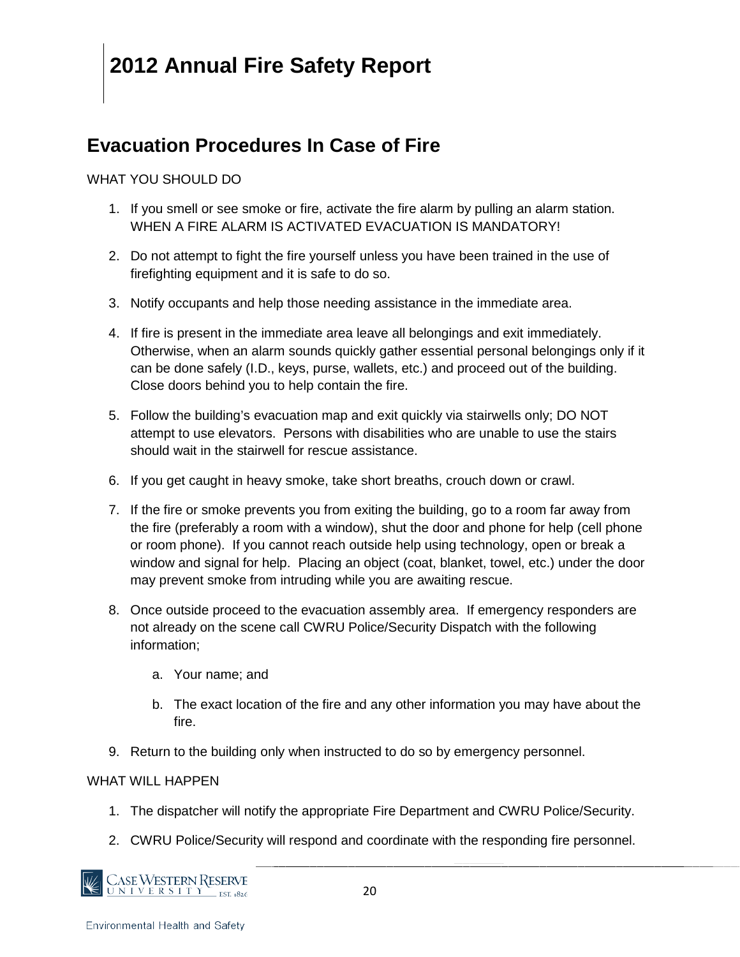### **Evacuation Procedures In Case of Fire**

#### WHAT YOU SHOULD DO

- 1. If you smell or see smoke or fire, activate the fire alarm by pulling an alarm station. WHEN A FIRE ALARM IS ACTIVATED EVACUATION IS MANDATORY!
- 2. Do not attempt to fight the fire yourself unless you have been trained in the use of firefighting equipment and it is safe to do so.
- 3. Notify occupants and help those needing assistance in the immediate area.
- 4. If fire is present in the immediate area leave all belongings and exit immediately. Otherwise, when an alarm sounds quickly gather essential personal belongings only if it can be done safely (I.D., keys, purse, wallets, etc.) and proceed out of the building. Close doors behind you to help contain the fire.
- 5. Follow the building's evacuation map and exit quickly via stairwells only; DO NOT attempt to use elevators. Persons with disabilities who are unable to use the stairs should wait in the stairwell for rescue assistance.
- 6. If you get caught in heavy smoke, take short breaths, crouch down or crawl.
- 7. If the fire or smoke prevents you from exiting the building, go to a room far away from the fire (preferably a room with a window), shut the door and phone for help (cell phone or room phone). If you cannot reach outside help using technology, open or break a window and signal for help. Placing an object (coat, blanket, towel, etc.) under the door may prevent smoke from intruding while you are awaiting rescue.
- 8. Once outside proceed to the evacuation assembly area. If emergency responders are not already on the scene call CWRU Police/Security Dispatch with the following information;
	- a. Your name; and
	- b. The exact location of the fire and any other information you may have about the fire.
- 9. Return to the building only when instructed to do so by emergency personnel.

#### WHAT WILL HAPPFN

- 1. The dispatcher will notify the appropriate Fire Department and CWRU Police/Security.
- 2. CWRU Police/Security will respond and coordinate with the responding fire personnel.

CASE WESTERN RESERVE <u>UNIVERSITY</u> EST 1826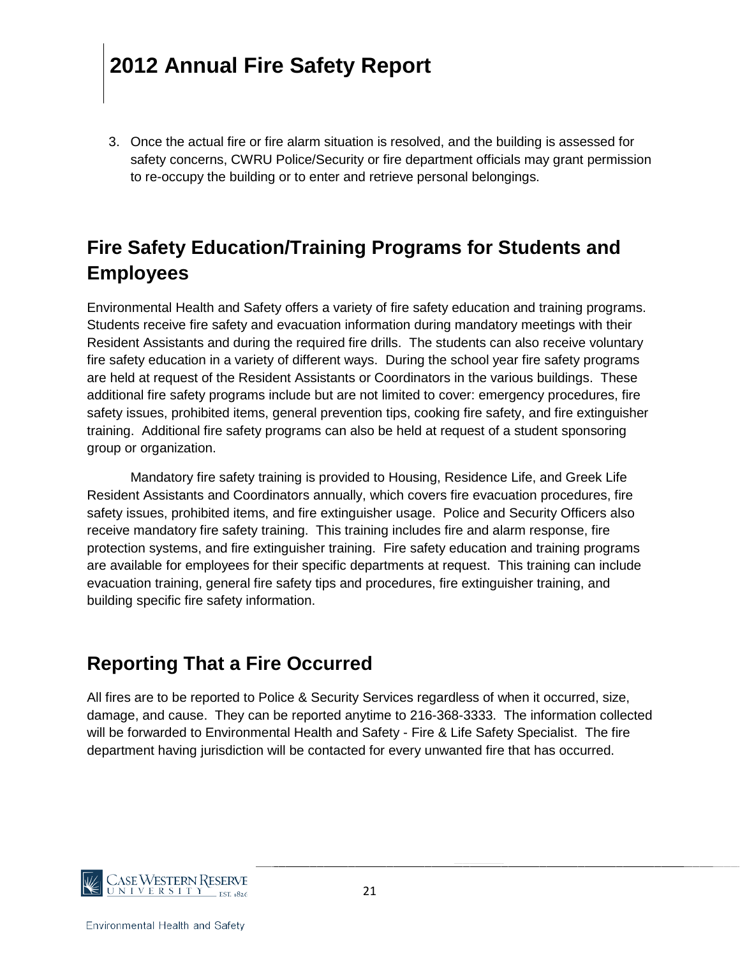3. Once the actual fire or fire alarm situation is resolved, and the building is assessed for safety concerns, CWRU Police/Security or fire department officials may grant permission to re-occupy the building or to enter and retrieve personal belongings.

### **Fire Safety Education/Training Programs for Students and Employees**

Environmental Health and Safety offers a variety of fire safety education and training programs. Students receive fire safety and evacuation information during mandatory meetings with their Resident Assistants and during the required fire drills. The students can also receive voluntary fire safety education in a variety of different ways. During the school year fire safety programs are held at request of the Resident Assistants or Coordinators in the various buildings. These additional fire safety programs include but are not limited to cover: emergency procedures, fire safety issues, prohibited items, general prevention tips, cooking fire safety, and fire extinguisher training. Additional fire safety programs can also be held at request of a student sponsoring group or organization.

Mandatory fire safety training is provided to Housing, Residence Life, and Greek Life Resident Assistants and Coordinators annually, which covers fire evacuation procedures, fire safety issues, prohibited items, and fire extinguisher usage. Police and Security Officers also receive mandatory fire safety training. This training includes fire and alarm response, fire protection systems, and fire extinguisher training. Fire safety education and training programs are available for employees for their specific departments at request. This training can include evacuation training, general fire safety tips and procedures, fire extinguisher training, and building specific fire safety information.

#### **Reporting That a Fire Occurred**

All fires are to be reported to Police & Security Services regardless of when it occurred, size, damage, and cause. They can be reported anytime to 216-368-3333. The information collected will be forwarded to Environmental Health and Safety - Fire & Life Safety Specialist. The fire department having jurisdiction will be contacted for every unwanted fire that has occurred.